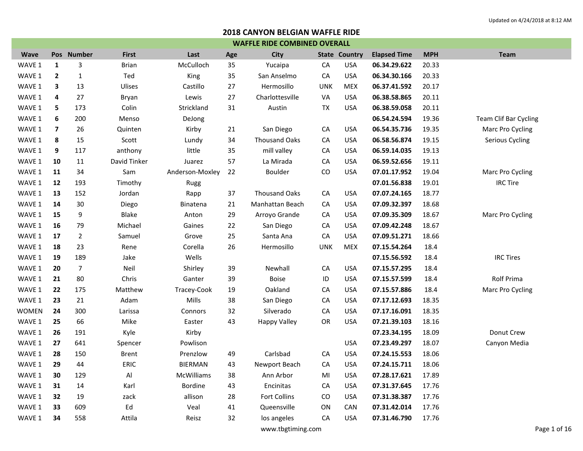|                   | <b>WAFFLE RIDE COMBINED OVERALL</b> |                |              |                 |     |                      |            |                      |                     |            |                       |  |  |
|-------------------|-------------------------------------|----------------|--------------|-----------------|-----|----------------------|------------|----------------------|---------------------|------------|-----------------------|--|--|
| <b>Wave</b>       |                                     | Pos Number     | <b>First</b> | Last            | Age | <b>City</b>          |            | <b>State Country</b> | <b>Elapsed Time</b> | <b>MPH</b> | <b>Team</b>           |  |  |
| WAVE 1            | 1                                   | 3              | <b>Brian</b> | McCulloch       | 35  | Yucaipa              | CA         | <b>USA</b>           | 06.34.29.622        | 20.33      |                       |  |  |
| WAVE 1            | $\mathbf{2}$                        | $\mathbf{1}$   | Ted          | King            | 35  | San Anselmo          | CA         | <b>USA</b>           | 06.34.30.166        | 20.33      |                       |  |  |
| WAVE 1            | 3                                   | 13             | Ulises       | Castillo        | 27  | Hermosillo           | <b>UNK</b> | <b>MEX</b>           | 06.37.41.592        | 20.17      |                       |  |  |
| WAVE 1            | 4                                   | 27             | Bryan        | Lewis           | 27  | Charlottesville      | VA         | <b>USA</b>           | 06.38.58.865        | 20.11      |                       |  |  |
| WAVE 1            | 5                                   | 173            | Colin        | Strickland      | 31  | Austin               | TX         | <b>USA</b>           | 06.38.59.058        | 20.11      |                       |  |  |
| WAVE 1            | 6                                   | 200            | Menso        | DeJong          |     |                      |            |                      | 06.54.24.594        | 19.36      | Team Clif Bar Cycling |  |  |
| WAVE 1            | 7                                   | 26             | Quinten      | Kirby           | 21  | San Diego            | CA         | <b>USA</b>           | 06.54.35.736        | 19.35      | Marc Pro Cycling      |  |  |
| WAVE 1            | 8                                   | 15             | Scott        | Lundy           | 34  | <b>Thousand Oaks</b> | CA         | <b>USA</b>           | 06.58.56.874        | 19.15      | Serious Cycling       |  |  |
| WAVE 1            | 9                                   | 117            | anthony      | little          | 35  | mill valley          | CA         | <b>USA</b>           | 06.59.14.035        | 19.13      |                       |  |  |
| WAVE 1            | 10                                  | 11             | David Tinker | Juarez          | 57  | La Mirada            | CA         | <b>USA</b>           | 06.59.52.656        | 19.11      |                       |  |  |
| WAVE 1            | 11                                  | 34             | Sam          | Anderson-Moxley | 22  | Boulder              | CO         | <b>USA</b>           | 07.01.17.952        | 19.04      | Marc Pro Cycling      |  |  |
| WAVE 1            | 12                                  | 193            | Timothy      | Rugg            |     |                      |            |                      | 07.01.56.838        | 19.01      | <b>IRC Tire</b>       |  |  |
| WAVE 1            | 13                                  | 152            | Jordan       | Rapp            | 37  | <b>Thousand Oaks</b> | CA         | <b>USA</b>           | 07.07.24.165        | 18.77      |                       |  |  |
| WAVE 1            | 14                                  | 30             | Diego        | Binatena        | 21  | Manhattan Beach      | CA         | <b>USA</b>           | 07.09.32.397        | 18.68      |                       |  |  |
| WAVE 1            | 15                                  | 9              | <b>Blake</b> | Anton           | 29  | Arroyo Grande        | CA         | <b>USA</b>           | 07.09.35.309        | 18.67      | Marc Pro Cycling      |  |  |
| WAVE 1            | 16                                  | 79             | Michael      | Gaines          | 22  | San Diego            | CA         | <b>USA</b>           | 07.09.42.248        | 18.67      |                       |  |  |
| WAVE 1            | 17                                  | $\overline{2}$ | Samuel       | Grove           | 25  | Santa Ana            | CA         | <b>USA</b>           | 07.09.51.271        | 18.66      |                       |  |  |
| WAVE 1            | 18                                  | 23             | Rene         | Corella         | 26  | Hermosillo           | <b>UNK</b> | <b>MEX</b>           | 07.15.54.264        | 18.4       |                       |  |  |
| WAVE 1            | 19                                  | 189            | Jake         | Wells           |     |                      |            |                      | 07.15.56.592        | 18.4       | <b>IRC Tires</b>      |  |  |
| WAVE 1            | 20                                  | 7              | Neil         | Shirley         | 39  | Newhall              | CA         | <b>USA</b>           | 07.15.57.295        | 18.4       |                       |  |  |
| WAVE 1            | 21                                  | 80             | Chris        | Ganter          | 39  | <b>Boise</b>         | ID         | <b>USA</b>           | 07.15.57.599        | 18.4       | Rolf Prima            |  |  |
| WAVE 1            | 22                                  | 175            | Matthew      | Tracey-Cook     | 19  | Oakland              | CA         | <b>USA</b>           | 07.15.57.886        | 18.4       | Marc Pro Cycling      |  |  |
| WAVE 1            | 23                                  | 21             | Adam         | Mills           | 38  | San Diego            | CA         | <b>USA</b>           | 07.17.12.693        | 18.35      |                       |  |  |
| <b>WOMEN</b>      | 24                                  | 300            | Larissa      | Connors         | 32  | Silverado            | CA         | <b>USA</b>           | 07.17.16.091        | 18.35      |                       |  |  |
| WAVE 1            | 25                                  | 66             | Mike         | Easter          | 43  | <b>Happy Valley</b>  | OR         | <b>USA</b>           | 07.21.39.103        | 18.16      |                       |  |  |
| WAVE 1            | 26                                  | 191            | Kyle         | Kirby           |     |                      |            |                      | 07.23.34.195        | 18.09      | Donut Crew            |  |  |
| WAVE 1            | 27                                  | 641            | Spencer      | Powlison        |     |                      |            | <b>USA</b>           | 07.23.49.297        | 18.07      | Canyon Media          |  |  |
| WAVE 1            | 28                                  | 150            | <b>Brent</b> | Prenzlow        | 49  | Carlsbad             | CA         | <b>USA</b>           | 07.24.15.553        | 18.06      |                       |  |  |
| WAVE 1            | 29                                  | 44             | <b>ERIC</b>  | <b>BIERMAN</b>  | 43  | Newport Beach        | CA         | <b>USA</b>           | 07.24.15.711        | 18.06      |                       |  |  |
| WAVE 1            | 30                                  | 129            | AI           | McWilliams      | 38  | Ann Arbor            | MI         | <b>USA</b>           | 07.28.17.621        | 17.89      |                       |  |  |
| WAVE 1            | 31                                  | 14             | Karl         | Bordine         | 43  | Encinitas            | CA         | <b>USA</b>           | 07.31.37.645        | 17.76      |                       |  |  |
| WAVE 1            | 32                                  | 19             | zack         | allison         | 28  | Fort Collins         | CO         | <b>USA</b>           | 07.31.38.387        | 17.76      |                       |  |  |
| WAVE 1            | 33                                  | 609            | Ed           | Veal            | 41  | Queensville          | ON         | CAN                  | 07.31.42.014        | 17.76      |                       |  |  |
| WAVE 1            | 34                                  | 558            | Attila       | Reisz           | 32  | los angeles          | CA         | <b>USA</b>           | 07.31.46.790        | 17.76      |                       |  |  |
| www.tbgtiming.com |                                     |                |              |                 |     |                      |            |                      |                     |            | Page 1 of 16          |  |  |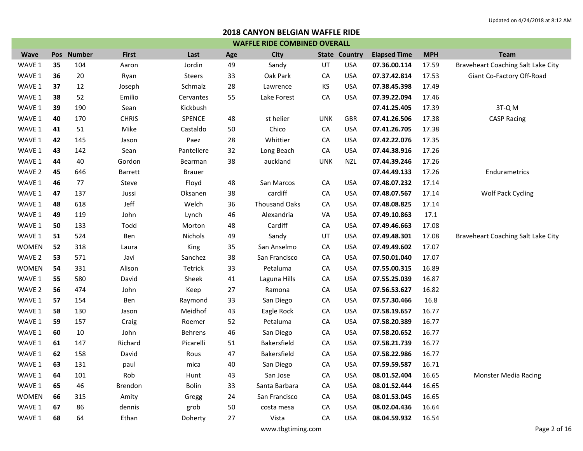|              | <b>WAFFLE RIDE COMBINED OVERALL</b> |            |                |               |     |                      |            |                      |                     |            |                                    |  |  |
|--------------|-------------------------------------|------------|----------------|---------------|-----|----------------------|------------|----------------------|---------------------|------------|------------------------------------|--|--|
| <b>Wave</b>  |                                     | Pos Number | <b>First</b>   | Last          | Age | City                 |            | <b>State Country</b> | <b>Elapsed Time</b> | <b>MPH</b> | <b>Team</b>                        |  |  |
| WAVE 1       | 35                                  | 104        | Aaron          | Jordin        | 49  | Sandy                | UT         | <b>USA</b>           | 07.36.00.114        | 17.59      | Braveheart Coaching Salt Lake City |  |  |
| WAVE 1       | 36                                  | 20         | Ryan           | <b>Steers</b> | 33  | Oak Park             | CA         | <b>USA</b>           | 07.37.42.814        | 17.53      | Giant Co-Factory Off-Road          |  |  |
| WAVE 1       | 37                                  | 12         | Joseph         | Schmalz       | 28  | Lawrence             | КS         | USA                  | 07.38.45.398        | 17.49      |                                    |  |  |
| WAVE 1       | 38                                  | 52         | Emilio         | Cervantes     | 55  | Lake Forest          | CA         | <b>USA</b>           | 07.39.22.094        | 17.46      |                                    |  |  |
| WAVE 1       | 39                                  | 190        | Sean           | Kickbush      |     |                      |            |                      | 07.41.25.405        | 17.39      | 3T-Q M                             |  |  |
| WAVE 1       | 40                                  | 170        | <b>CHRIS</b>   | SPENCE        | 48  | st helier            | <b>UNK</b> | <b>GBR</b>           | 07.41.26.506        | 17.38      | <b>CASP Racing</b>                 |  |  |
| WAVE 1       | 41                                  | 51         | Mike           | Castaldo      | 50  | Chico                | CA         | <b>USA</b>           | 07.41.26.705        | 17.38      |                                    |  |  |
| WAVE 1       | 42                                  | 145        | Jason          | Paez          | 28  | Whittier             | CA         | <b>USA</b>           | 07.42.22.076        | 17.35      |                                    |  |  |
| WAVE 1       | 43                                  | 142        | Sean           | Pantellere    | 32  | Long Beach           | CA         | <b>USA</b>           | 07.44.38.916        | 17.26      |                                    |  |  |
| WAVE 1       | 44                                  | 40         | Gordon         | Bearman       | 38  | auckland             | <b>UNK</b> | <b>NZL</b>           | 07.44.39.246        | 17.26      |                                    |  |  |
| WAVE 2       | 45                                  | 646        | <b>Barrett</b> | <b>Brauer</b> |     |                      |            |                      | 07.44.49.133        | 17.26      | Endurametrics                      |  |  |
| WAVE 1       | 46                                  | 77         | Steve          | Floyd         | 48  | San Marcos           | CA         | <b>USA</b>           | 07.48.07.232        | 17.14      |                                    |  |  |
| WAVE 1       | 47                                  | 137        | Jussi          | Oksanen       | 38  | cardiff              | CA         | <b>USA</b>           | 07.48.07.567        | 17.14      | <b>Wolf Pack Cycling</b>           |  |  |
| WAVE 1       | 48                                  | 618        | Jeff           | Welch         | 36  | <b>Thousand Oaks</b> | CA         | <b>USA</b>           | 07.48.08.825        | 17.14      |                                    |  |  |
| WAVE 1       | 49                                  | 119        | John           | Lynch         | 46  | Alexandria           | VA         | USA                  | 07.49.10.863        | 17.1       |                                    |  |  |
| WAVE 1       | 50                                  | 133        | Todd           | Morton        | 48  | Cardiff              | CA         | <b>USA</b>           | 07.49.46.663        | 17.08      |                                    |  |  |
| WAVE 1       | 51                                  | 524        | Ben            | Nichols       | 49  | Sandy                | UT         | <b>USA</b>           | 07.49.48.301        | 17.08      | Braveheart Coaching Salt Lake City |  |  |
| <b>WOMEN</b> | 52                                  | 318        | Laura          | King          | 35  | San Anselmo          | CA         | <b>USA</b>           | 07.49.49.602        | 17.07      |                                    |  |  |
| WAVE 2       | 53                                  | 571        | Javi           | Sanchez       | 38  | San Francisco        | CA         | <b>USA</b>           | 07.50.01.040        | 17.07      |                                    |  |  |
| <b>WOMEN</b> | 54                                  | 331        | Alison         | Tetrick       | 33  | Petaluma             | CA         | <b>USA</b>           | 07.55.00.315        | 16.89      |                                    |  |  |
| WAVE 1       | 55                                  | 580        | David          | Sheek         | 41  | Laguna Hills         | CA         | <b>USA</b>           | 07.55.25.039        | 16.87      |                                    |  |  |
| WAVE 2       | 56                                  | 474        | John           | Keep          | 27  | Ramona               | CA         | <b>USA</b>           | 07.56.53.627        | 16.82      |                                    |  |  |
| WAVE 1       | 57                                  | 154        | Ben            | Raymond       | 33  | San Diego            | CA         | <b>USA</b>           | 07.57.30.466        | 16.8       |                                    |  |  |
| WAVE 1       | 58                                  | 130        | Jason          | Meidhof       | 43  | Eagle Rock           | CA         | <b>USA</b>           | 07.58.19.657        | 16.77      |                                    |  |  |
| WAVE 1       | 59                                  | 157        | Craig          | Roemer        | 52  | Petaluma             | CA         | <b>USA</b>           | 07.58.20.389        | 16.77      |                                    |  |  |
| WAVE 1       | 60                                  | 10         | John           | Behrens       | 46  | San Diego            | CA         | <b>USA</b>           | 07.58.20.652        | 16.77      |                                    |  |  |
| WAVE 1       | 61                                  | 147        | Richard        | Picarelli     | 51  | <b>Bakersfield</b>   | CA         | <b>USA</b>           | 07.58.21.739        | 16.77      |                                    |  |  |
| WAVE 1       | 62                                  | 158        | David          | Rous          | 47  | Bakersfield          | CA         | USA                  | 07.58.22.986        | 16.77      |                                    |  |  |
| WAVE 1       | 63                                  | 131        | paul           | mica          | 40  | San Diego            | CA         | <b>USA</b>           | 07.59.59.587        | 16.71      |                                    |  |  |
| WAVE 1       | 64                                  | 101        | Rob            | Hunt          | 43  | San Jose             | CA         | <b>USA</b>           | 08.01.52.404        | 16.65      | <b>Monster Media Racing</b>        |  |  |
| WAVE 1       | 65                                  | 46         | Brendon        | Bolin         | 33  | Santa Barbara        | CA         | <b>USA</b>           | 08.01.52.444        | 16.65      |                                    |  |  |
| <b>WOMEN</b> | 66                                  | 315        | Amity          | Gregg         | 24  | San Francisco        | CA         | <b>USA</b>           | 08.01.53.045        | 16.65      |                                    |  |  |
| WAVE 1       | 67                                  | 86         | dennis         | grob          | 50  | costa mesa           | CA         | USA                  | 08.02.04.436        | 16.64      |                                    |  |  |
| WAVE 1       | 68                                  | 64         | Ethan          | Doherty       | 27  | Vista                | CA         | <b>USA</b>           | 08.04.59.932        | 16.54      |                                    |  |  |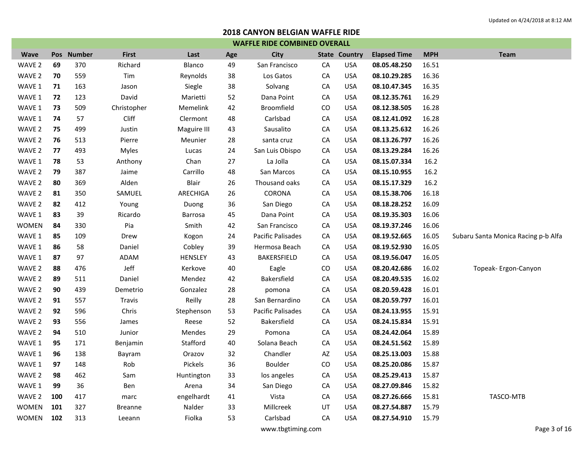| <b>WAFFLE RIDE COMBINED OVERALL</b> |     |            |                |                |     |                          |    |                      |                     |            |                                     |
|-------------------------------------|-----|------------|----------------|----------------|-----|--------------------------|----|----------------------|---------------------|------------|-------------------------------------|
| <b>Wave</b>                         |     | Pos Number | <b>First</b>   | Last           | Age | <b>City</b>              |    | <b>State Country</b> | <b>Elapsed Time</b> | <b>MPH</b> | <b>Team</b>                         |
| WAVE 2                              | 69  | 370        | Richard        | Blanco         | 49  | San Francisco            | CA | <b>USA</b>           | 08.05.48.250        | 16.51      |                                     |
| WAVE 2                              | 70  | 559        | Tim            | Reynolds       | 38  | Los Gatos                | CA | <b>USA</b>           | 08.10.29.285        | 16.36      |                                     |
| WAVE 1                              | 71  | 163        | Jason          | Siegle         | 38  | Solvang                  | CA | <b>USA</b>           | 08.10.47.345        | 16.35      |                                     |
| WAVE 1                              | 72  | 123        | David          | Marietti       | 52  | Dana Point               | CA | <b>USA</b>           | 08.12.35.761        | 16.29      |                                     |
| WAVE 1                              | 73  | 509        | Christopher    | Memelink       | 42  | <b>Broomfield</b>        | CO | <b>USA</b>           | 08.12.38.505        | 16.28      |                                     |
| WAVE 1                              | 74  | 57         | Cliff          | Clermont       | 48  | Carlsbad                 | CA | <b>USA</b>           | 08.12.41.092        | 16.28      |                                     |
| WAVE 2                              | 75  | 499        | Justin         | Maguire III    | 43  | Sausalito                | CA | <b>USA</b>           | 08.13.25.632        | 16.26      |                                     |
| WAVE 2                              | 76  | 513        | Pierre         | Meunier        | 28  | santa cruz               | CA | <b>USA</b>           | 08.13.26.797        | 16.26      |                                     |
| WAVE 2                              | 77  | 493        | Myles          | Lucas          | 24  | San Luis Obispo          | CA | <b>USA</b>           | 08.13.29.284        | 16.26      |                                     |
| WAVE 1                              | 78  | 53         | Anthony        | Chan           | 27  | La Jolla                 | CA | <b>USA</b>           | 08.15.07.334        | 16.2       |                                     |
| WAVE 2                              | 79  | 387        | Jaime          | Carrillo       | 48  | San Marcos               | CA | <b>USA</b>           | 08.15.10.955        | 16.2       |                                     |
| WAVE 2                              | 80  | 369        | Alden          | Blair          | 26  | Thousand oaks            | CA | <b>USA</b>           | 08.15.17.329        | 16.2       |                                     |
| WAVE 2                              | 81  | 350        | SAMUEL         | ARECHIGA       | 26  | CORONA                   | CA | <b>USA</b>           | 08.15.38.706        | 16.18      |                                     |
| WAVE 2                              | 82  | 412        | Young          | Duong          | 36  | San Diego                | CA | <b>USA</b>           | 08.18.28.252        | 16.09      |                                     |
| WAVE 1                              | 83  | 39         | Ricardo        | Barrosa        | 45  | Dana Point               | CA | <b>USA</b>           | 08.19.35.303        | 16.06      |                                     |
| WOMEN                               | 84  | 330        | Pia            | Smith          | 42  | San Francisco            | CA | <b>USA</b>           | 08.19.37.246        | 16.06      |                                     |
| WAVE 1                              | 85  | 109        | Drew           | Kogon          | 24  | <b>Pacific Palisades</b> | CA | <b>USA</b>           | 08.19.52.665        | 16.05      | Subaru Santa Monica Racing p-b Alfa |
| WAVE 1                              | 86  | 58         | Daniel         | Cobley         | 39  | Hermosa Beach            | CA | <b>USA</b>           | 08.19.52.930        | 16.05      |                                     |
| WAVE 1                              | 87  | 97         | ADAM           | <b>HENSLEY</b> | 43  | BAKERSFIELD              | CA | <b>USA</b>           | 08.19.56.047        | 16.05      |                                     |
| WAVE 2                              | 88  | 476        | Jeff           | Kerkove        | 40  | Eagle                    | CO | <b>USA</b>           | 08.20.42.686        | 16.02      | Topeak- Ergon-Canyon                |
| WAVE 2                              | 89  | 511        | Daniel         | Mendez         | 42  | Bakersfield              | CA | <b>USA</b>           | 08.20.49.535        | 16.02      |                                     |
| WAVE 2                              | 90  | 439        | Demetrio       | Gonzalez       | 28  | pomona                   | CA | <b>USA</b>           | 08.20.59.428        | 16.01      |                                     |
| WAVE 2                              | 91  | 557        | <b>Travis</b>  | Reilly         | 28  | San Bernardino           | CA | <b>USA</b>           | 08.20.59.797        | 16.01      |                                     |
| WAVE 2                              | 92  | 596        | Chris          | Stephenson     | 53  | <b>Pacific Palisades</b> | CA | <b>USA</b>           | 08.24.13.955        | 15.91      |                                     |
| WAVE 2                              | 93  | 556        | James          | Reese          | 52  | Bakersfield              | CA | <b>USA</b>           | 08.24.15.834        | 15.91      |                                     |
| WAVE 2                              | 94  | 510        | Junior         | Mendes         | 29  | Pomona                   | CA | USA                  | 08.24.42.064        | 15.89      |                                     |
| WAVE 1                              | 95  | 171        | Benjamin       | Stafford       | 40  | Solana Beach             | CA | <b>USA</b>           | 08.24.51.562        | 15.89      |                                     |
| WAVE 1                              | 96  | 138        | Bayram         | Orazov         | 32  | Chandler                 | AZ | <b>USA</b>           | 08.25.13.003        | 15.88      |                                     |
| WAVE 1                              | 97  | 148        | Rob            | Pickels        | 36  | <b>Boulder</b>           | CO | <b>USA</b>           | 08.25.20.086        | 15.87      |                                     |
| WAVE 2                              | 98  | 462        | Sam            | Huntington     | 33  | los angeles              | CA | <b>USA</b>           | 08.25.29.413        | 15.87      |                                     |
| WAVE 1                              | 99  | 36         | Ben            | Arena          | 34  | San Diego                | CA | <b>USA</b>           | 08.27.09.846        | 15.82      |                                     |
| WAVE 2                              | 100 | 417        | marc           | engelhardt     | 41  | Vista                    | CA | <b>USA</b>           | 08.27.26.666        | 15.81      | TASCO-MTB                           |
| <b>WOMEN</b>                        | 101 | 327        | <b>Breanne</b> | Nalder         | 33  | Millcreek                | UT | <b>USA</b>           | 08.27.54.887        | 15.79      |                                     |
| <b>WOMEN</b>                        | 102 | 313        | Leeann         | Fiolka         | 53  | Carlsbad                 | CA | <b>USA</b>           | 08.27.54.910        | 15.79      |                                     |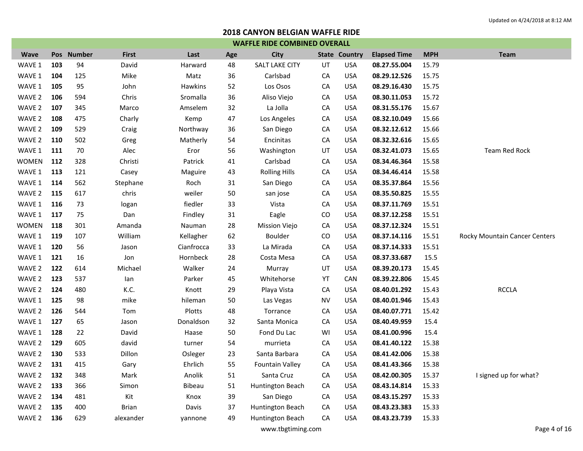| <b>WAFFLE RIDE COMBINED OVERALL</b> |     |            |              |            |     |                        |           |                      |                     |            |                               |  |
|-------------------------------------|-----|------------|--------------|------------|-----|------------------------|-----------|----------------------|---------------------|------------|-------------------------------|--|
| <b>Wave</b>                         |     | Pos Number | <b>First</b> | Last       | Age | <b>City</b>            |           | <b>State Country</b> | <b>Elapsed Time</b> | <b>MPH</b> | <b>Team</b>                   |  |
| WAVE 1                              | 103 | 94         | David        | Harward    | 48  | <b>SALT LAKE CITY</b>  | UT        | <b>USA</b>           | 08.27.55.004        | 15.79      |                               |  |
| WAVE 1                              | 104 | 125        | Mike         | Matz       | 36  | Carlsbad               | CA        | <b>USA</b>           | 08.29.12.526        | 15.75      |                               |  |
| WAVE 1                              | 105 | 95         | John         | Hawkins    | 52  | Los Osos               | CA        | <b>USA</b>           | 08.29.16.430        | 15.75      |                               |  |
| WAVE 2                              | 106 | 594        | Chris        | Sromalla   | 36  | Aliso Viejo            | CA        | <b>USA</b>           | 08.30.11.053        | 15.72      |                               |  |
| WAVE 2                              | 107 | 345        | Marco        | Amselem    | 32  | La Jolla               | CA        | <b>USA</b>           | 08.31.55.176        | 15.67      |                               |  |
| WAVE 2                              | 108 | 475        | Charly       | Kemp       | 47  | Los Angeles            | CA        | <b>USA</b>           | 08.32.10.049        | 15.66      |                               |  |
| WAVE 2                              | 109 | 529        | Craig        | Northway   | 36  | San Diego              | CA        | <b>USA</b>           | 08.32.12.612        | 15.66      |                               |  |
| WAVE 2                              | 110 | 502        | Greg         | Matherly   | 54  | Encinitas              | CA        | <b>USA</b>           | 08.32.32.616        | 15.65      |                               |  |
| WAVE 1                              | 111 | 70         | Alec         | Eror       | 56  | Washington             | UT        | <b>USA</b>           | 08.32.41.073        | 15.65      | Team Red Rock                 |  |
| <b>WOMEN</b>                        | 112 | 328        | Christi      | Patrick    | 41  | Carlsbad               | CA        | <b>USA</b>           | 08.34.46.364        | 15.58      |                               |  |
| WAVE 1                              | 113 | 121        | Casey        | Maguire    | 43  | <b>Rolling Hills</b>   | CA        | <b>USA</b>           | 08.34.46.414        | 15.58      |                               |  |
| WAVE 1                              | 114 | 562        | Stephane     | Roch       | 31  | San Diego              | CA        | <b>USA</b>           | 08.35.37.864        | 15.56      |                               |  |
| WAVE 2                              | 115 | 617        | chris        | weiler     | 50  | san jose               | CA        | <b>USA</b>           | 08.35.50.825        | 15.55      |                               |  |
| WAVE 1                              | 116 | 73         | logan        | fiedler    | 33  | Vista                  | CA        | <b>USA</b>           | 08.37.11.769        | 15.51      |                               |  |
| WAVE 1                              | 117 | 75         | Dan          | Findley    | 31  | Eagle                  | CO        | <b>USA</b>           | 08.37.12.258        | 15.51      |                               |  |
| <b>WOMEN</b>                        | 118 | 301        | Amanda       | Nauman     | 28  | <b>Mission Viejo</b>   | CA        | <b>USA</b>           | 08.37.12.324        | 15.51      |                               |  |
| WAVE 1                              | 119 | 107        | William      | Kellagher  | 62  | Boulder                | CO        | <b>USA</b>           | 08.37.14.116        | 15.51      | Rocky Mountain Cancer Centers |  |
| WAVE 1                              | 120 | 56         | Jason        | Cianfrocca | 33  | La Mirada              | CA        | <b>USA</b>           | 08.37.14.333        | 15.51      |                               |  |
| WAVE 1                              | 121 | 16         | Jon          | Hornbeck   | 28  | Costa Mesa             | CA        | <b>USA</b>           | 08.37.33.687        | 15.5       |                               |  |
| WAVE 2                              | 122 | 614        | Michael      | Walker     | 24  | Murray                 | UT        | <b>USA</b>           | 08.39.20.173        | 15.45      |                               |  |
| WAVE 2                              | 123 | 537        | lan          | Parker     | 45  | Whitehorse             | YT        | CAN                  | 08.39.22.806        | 15.45      |                               |  |
| WAVE 2                              | 124 | 480        | K.C.         | Knott      | 29  | Playa Vista            | CA        | <b>USA</b>           | 08.40.01.292        | 15.43      | <b>RCCLA</b>                  |  |
| WAVE 1                              | 125 | 98         | mike         | hileman    | 50  | Las Vegas              | <b>NV</b> | <b>USA</b>           | 08.40.01.946        | 15.43      |                               |  |
| WAVE 2                              | 126 | 544        | Tom          | Plotts     | 48  | Torrance               | CA        | <b>USA</b>           | 08.40.07.771        | 15.42      |                               |  |
| WAVE 1                              | 127 | 65         | Jason        | Donaldson  | 32  | Santa Monica           | CA        | <b>USA</b>           | 08.40.49.959        | 15.4       |                               |  |
| WAVE 1                              | 128 | 22         | David        | Haase      | 50  | Fond Du Lac            | WI        | <b>USA</b>           | 08.41.00.996        | 15.4       |                               |  |
| WAVE 2                              | 129 | 605        | david        | turner     | 54  | murrieta               | CA        | <b>USA</b>           | 08.41.40.122        | 15.38      |                               |  |
| WAVE 2                              | 130 | 533        | Dillon       | Osleger    | 23  | Santa Barbara          | CA        | <b>USA</b>           | 08.41.42.006        | 15.38      |                               |  |
| WAVE 2                              | 131 | 415        | Gary         | Ehrlich    | 55  | <b>Fountain Valley</b> | CA        | <b>USA</b>           | 08.41.43.366        | 15.38      |                               |  |
| WAVE 2                              | 132 | 348        | Mark         | Anolik     | 51  | Santa Cruz             | CA        | <b>USA</b>           | 08.42.00.305        | 15.37      | I signed up for what?         |  |
| WAVE 2                              | 133 | 366        | Simon        | Bibeau     | 51  | Huntington Beach       | CA        | <b>USA</b>           | 08.43.14.814        | 15.33      |                               |  |
| WAVE 2                              | 134 | 481        | Kit          | Knox       | 39  | San Diego              | CA        | USA                  | 08.43.15.297        | 15.33      |                               |  |
| WAVE 2                              | 135 | 400        | <b>Brian</b> | Davis      | 37  | Huntington Beach       | CA        | USA                  | 08.43.23.383        | 15.33      |                               |  |
| WAVE 2 136                          |     | 629        | alexander    | yannone    | 49  | Huntington Beach       | CA        | <b>USA</b>           | 08.43.23.739        | 15.33      |                               |  |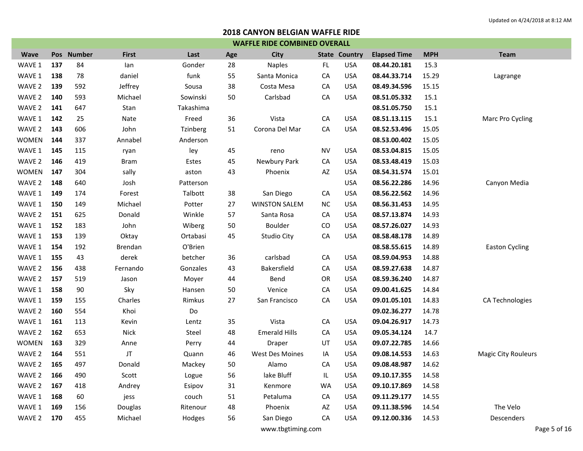| <b>WAFFLE RIDE COMBINED OVERALL</b> |     |            |                |                 |     |                      |           |                      |                     |            |                            |  |
|-------------------------------------|-----|------------|----------------|-----------------|-----|----------------------|-----------|----------------------|---------------------|------------|----------------------------|--|
| <b>Wave</b>                         |     | Pos Number | <b>First</b>   | Last            | Age | <b>City</b>          |           | <b>State Country</b> | <b>Elapsed Time</b> | <b>MPH</b> | <b>Team</b>                |  |
| WAVE 1                              | 137 | 84         | lan            | Gonder          | 28  | <b>Naples</b>        | FL        | <b>USA</b>           | 08.44.20.181        | 15.3       |                            |  |
| WAVE 1                              | 138 | 78         | daniel         | funk            | 55  | Santa Monica         | CA        | <b>USA</b>           | 08.44.33.714        | 15.29      | Lagrange                   |  |
| WAVE 2                              | 139 | 592        | Jeffrey        | Sousa           | 38  | Costa Mesa           | CA        | <b>USA</b>           | 08.49.34.596        | 15.15      |                            |  |
| WAVE 2                              | 140 | 593        | Michael        | Sowinski        | 50  | Carlsbad             | CA        | <b>USA</b>           | 08.51.05.332        | 15.1       |                            |  |
| WAVE 2                              | 141 | 647        | Stan           | Takashima       |     |                      |           |                      | 08.51.05.750        | 15.1       |                            |  |
| WAVE 1                              | 142 | 25         | Nate           | Freed           | 36  | Vista                | CA        | <b>USA</b>           | 08.51.13.115        | 15.1       | Marc Pro Cycling           |  |
| WAVE 2                              | 143 | 606        | John           | <b>Tzinberg</b> | 51  | Corona Del Mar       | CA        | <b>USA</b>           | 08.52.53.496        | 15.05      |                            |  |
| <b>WOMEN</b>                        | 144 | 337        | Annabel        | Anderson        |     |                      |           |                      | 08.53.00.402        | 15.05      |                            |  |
| WAVE 1                              | 145 | 115        | ryan           | ley             | 45  | reno                 | <b>NV</b> | <b>USA</b>           | 08.53.04.815        | 15.05      |                            |  |
| WAVE 2                              | 146 | 419        | <b>Bram</b>    | Estes           | 45  | Newbury Park         | CA        | <b>USA</b>           | 08.53.48.419        | 15.03      |                            |  |
| <b>WOMEN</b>                        | 147 | 304        | sally          | aston           | 43  | Phoenix              | AZ        | <b>USA</b>           | 08.54.31.574        | 15.01      |                            |  |
| WAVE 2                              | 148 | 640        | Josh           | Patterson       |     |                      |           | <b>USA</b>           | 08.56.22.286        | 14.96      | Canyon Media               |  |
| WAVE 1                              | 149 | 174        | Forest         | Talbott         | 38  | San Diego            | CA        | <b>USA</b>           | 08.56.22.562        | 14.96      |                            |  |
| WAVE 1                              | 150 | 149        | Michael        | Potter          | 27  | <b>WINSTON SALEM</b> | <b>NC</b> | <b>USA</b>           | 08.56.31.453        | 14.95      |                            |  |
| WAVE 2                              | 151 | 625        | Donald         | Winkle          | 57  | Santa Rosa           | CA        | <b>USA</b>           | 08.57.13.874        | 14.93      |                            |  |
| WAVE 1                              | 152 | 183        | John           | Wiberg          | 50  | Boulder              | CO        | <b>USA</b>           | 08.57.26.027        | 14.93      |                            |  |
| WAVE 1                              | 153 | 139        | Oktay          | Ortabasi        | 45  | Studio City          | CA        | <b>USA</b>           | 08.58.48.178        | 14.89      |                            |  |
| WAVE 1                              | 154 | 192        | <b>Brendan</b> | O'Brien         |     |                      |           |                      | 08.58.55.615        | 14.89      | <b>Easton Cycling</b>      |  |
| WAVE 1                              | 155 | 43         | derek          | betcher         | 36  | carlsbad             | CA        | <b>USA</b>           | 08.59.04.953        | 14.88      |                            |  |
| WAVE 2                              | 156 | 438        | Fernando       | Gonzales        | 43  | Bakersfield          | CA        | <b>USA</b>           | 08.59.27.638        | 14.87      |                            |  |
| WAVE 2                              | 157 | 519        | Jason          | Moyer           | 44  | Bend                 | OR        | <b>USA</b>           | 08.59.36.240        | 14.87      |                            |  |
| WAVE 1                              | 158 | 90         | Sky            | Hansen          | 50  | Venice               | CA        | <b>USA</b>           | 09.00.41.625        | 14.84      |                            |  |
| WAVE 1                              | 159 | 155        | Charles        | Rimkus          | 27  | San Francisco        | CA        | <b>USA</b>           | 09.01.05.101        | 14.83      | CA Technologies            |  |
| WAVE 2                              | 160 | 554        | Khoi           | Do              |     |                      |           |                      | 09.02.36.277        | 14.78      |                            |  |
| WAVE 1                              | 161 | 113        | Kevin          | Lentz           | 35  | Vista                | CA        | <b>USA</b>           | 09.04.26.917        | 14.73      |                            |  |
| WAVE 2                              | 162 | 653        | <b>Nick</b>    | Steel           | 48  | <b>Emerald Hills</b> | CA        | <b>USA</b>           | 09.05.34.124        | 14.7       |                            |  |
| <b>WOMEN</b>                        | 163 | 329        | Anne           | Perry           | 44  | Draper               | UT        | <b>USA</b>           | 09.07.22.785        | 14.66      |                            |  |
| WAVE 2                              | 164 | 551        | JT             | Quann           | 46  | West Des Moines      | IA        | <b>USA</b>           | 09.08.14.553        | 14.63      | <b>Magic City Rouleurs</b> |  |
| WAVE 2                              | 165 | 497        | Donald         | Mackey          | 50  | Alamo                | CA        | <b>USA</b>           | 09.08.48.987        | 14.62      |                            |  |
| WAVE 2                              | 166 | 490        | Scott          | Logue           | 56  | lake Bluff           | IL        | <b>USA</b>           | 09.10.17.355        | 14.58      |                            |  |
| WAVE 2                              | 167 | 418        | Andrey         | Esipov          | 31  | Kenmore              | <b>WA</b> | <b>USA</b>           | 09.10.17.869        | 14.58      |                            |  |
| WAVE 1                              | 168 | 60         | jess           | couch           | 51  | Petaluma             | CA        | <b>USA</b>           | 09.11.29.177        | 14.55      |                            |  |
| WAVE 1                              | 169 | 156        | Douglas        | Ritenour        | 48  | Phoenix              | AZ        | <b>USA</b>           | 09.11.38.596        | 14.54      | The Velo                   |  |
| WAVE 2                              | 170 | 455        | Michael        | Hodges          | 56  | San Diego            | CA        | <b>USA</b>           | 09.12.00.336        | 14.53      | Descenders                 |  |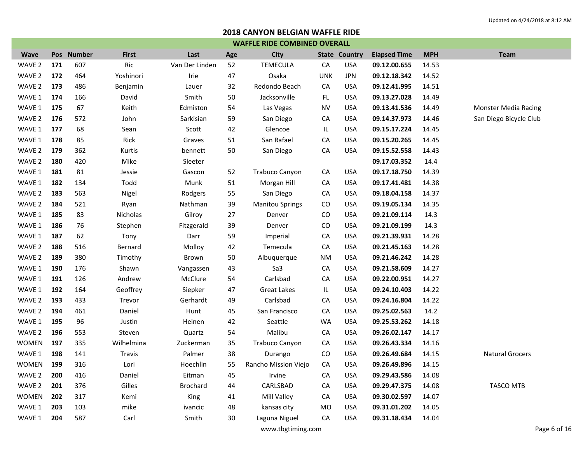|              | <b>WAFFLE RIDE COMBINED OVERALL</b> |            |              |                |     |                        |            |                      |                     |            |                             |  |  |  |
|--------------|-------------------------------------|------------|--------------|----------------|-----|------------------------|------------|----------------------|---------------------|------------|-----------------------------|--|--|--|
| <b>Wave</b>  |                                     | Pos Number | <b>First</b> | Last           | Age | <b>City</b>            |            | <b>State Country</b> | <b>Elapsed Time</b> | <b>MPH</b> | <b>Team</b>                 |  |  |  |
| WAVE 2       | 171                                 | 607        | Ric          | Van Der Linden | 52  | <b>TEMECULA</b>        | CA         | <b>USA</b>           | 09.12.00.655        | 14.53      |                             |  |  |  |
| WAVE 2       | 172                                 | 464        | Yoshinori    | Irie           | 47  | Osaka                  | <b>UNK</b> | <b>JPN</b>           | 09.12.18.342        | 14.52      |                             |  |  |  |
| WAVE 2       | 173                                 | 486        | Benjamin     | Lauer          | 32  | Redondo Beach          | CA         | <b>USA</b>           | 09.12.41.995        | 14.51      |                             |  |  |  |
| WAVE 1       | 174                                 | 166        | David        | Smith          | 50  | Jacksonville           | FL.        | <b>USA</b>           | 09.13.27.028        | 14.49      |                             |  |  |  |
| WAVE 1       | 175                                 | 67         | Keith        | Edmiston       | 54  | Las Vegas              | <b>NV</b>  | <b>USA</b>           | 09.13.41.536        | 14.49      | <b>Monster Media Racing</b> |  |  |  |
| WAVE 2       | 176                                 | 572        | John         | Sarkisian      | 59  | San Diego              | CA         | <b>USA</b>           | 09.14.37.973        | 14.46      | San Diego Bicycle Club      |  |  |  |
| WAVE 1       | 177                                 | 68         | Sean         | Scott          | 42  | Glencoe                | IL.        | <b>USA</b>           | 09.15.17.224        | 14.45      |                             |  |  |  |
| WAVE 1       | 178                                 | 85         | Rick         | Graves         | 51  | San Rafael             | CA         | <b>USA</b>           | 09.15.20.265        | 14.45      |                             |  |  |  |
| WAVE 2       | 179                                 | 362        | Kurtis       | bennett        | 50  | San Diego              | CA         | <b>USA</b>           | 09.15.52.558        | 14.43      |                             |  |  |  |
| WAVE 2       | 180                                 | 420        | Mike         | Sleeter        |     |                        |            |                      | 09.17.03.352        | 14.4       |                             |  |  |  |
| WAVE 1       | 181                                 | 81         | Jessie       | Gascon         | 52  | Trabuco Canyon         | CA         | <b>USA</b>           | 09.17.18.750        | 14.39      |                             |  |  |  |
| WAVE 1       | 182                                 | 134        | Todd         | Munk           | 51  | Morgan Hill            | CA         | <b>USA</b>           | 09.17.41.481        | 14.38      |                             |  |  |  |
| WAVE 2       | 183                                 | 563        | Nigel        | Rodgers        | 55  | San Diego              | CA         | <b>USA</b>           | 09.18.04.158        | 14.37      |                             |  |  |  |
| WAVE 2       | 184                                 | 521        | Ryan         | Nathman        | 39  | <b>Manitou Springs</b> | CO         | <b>USA</b>           | 09.19.05.134        | 14.35      |                             |  |  |  |
| WAVE 1       | 185                                 | 83         | Nicholas     | Gilroy         | 27  | Denver                 | CO         | USA                  | 09.21.09.114        | 14.3       |                             |  |  |  |
| WAVE 1       | 186                                 | 76         | Stephen      | Fitzgerald     | 39  | Denver                 | CO         | <b>USA</b>           | 09.21.09.199        | 14.3       |                             |  |  |  |
| WAVE 1       | 187                                 | 62         | Tony         | Darr           | 59  | Imperial               | CA         | <b>USA</b>           | 09.21.39.931        | 14.28      |                             |  |  |  |
| WAVE 2       | 188                                 | 516        | Bernard      | Molloy         | 42  | Temecula               | CA         | <b>USA</b>           | 09.21.45.163        | 14.28      |                             |  |  |  |
| WAVE 2       | 189                                 | 380        | Timothy      | Brown          | 50  | Albuquerque            | <b>NM</b>  | <b>USA</b>           | 09.21.46.242        | 14.28      |                             |  |  |  |
| WAVE 1       | 190                                 | 176        | Shawn        | Vangassen      | 43  | Sa3                    | CA         | USA                  | 09.21.58.609        | 14.27      |                             |  |  |  |
| WAVE 1       | 191                                 | 126        | Andrew       | McClure        | 54  | Carlsbad               | CA         | USA                  | 09.22.00.951        | 14.27      |                             |  |  |  |
| WAVE 1       | 192                                 | 164        | Geoffrey     | Siepker        | 47  | <b>Great Lakes</b>     | IL         | <b>USA</b>           | 09.24.10.403        | 14.22      |                             |  |  |  |
| WAVE 2       | 193                                 | 433        | Trevor       | Gerhardt       | 49  | Carlsbad               | CA         | <b>USA</b>           | 09.24.16.804        | 14.22      |                             |  |  |  |
| WAVE 2       | 194                                 | 461        | Daniel       | Hunt           | 45  | San Francisco          | CA         | <b>USA</b>           | 09.25.02.563        | 14.2       |                             |  |  |  |
| WAVE 1       | 195                                 | 96         | Justin       | Heinen         | 42  | Seattle                | <b>WA</b>  | <b>USA</b>           | 09.25.53.262        | 14.18      |                             |  |  |  |
| WAVE 2       | 196                                 | 553        | Steven       | Quartz         | 54  | Malibu                 | CA         | <b>USA</b>           | 09.26.02.147        | 14.17      |                             |  |  |  |
| WOMEN        | 197                                 | 335        | Wilhelmina   | Zuckerman      | 35  | Trabuco Canyon         | CA         | <b>USA</b>           | 09.26.43.334        | 14.16      |                             |  |  |  |
| WAVE 1       | 198                                 | 141        | Travis       | Palmer         | 38  | Durango                | CO         | <b>USA</b>           | 09.26.49.684        | 14.15      | <b>Natural Grocers</b>      |  |  |  |
| <b>WOMEN</b> | 199                                 | 316        | Lori         | Hoechlin       | 55  | Rancho Mission Viejo   | CA         | <b>USA</b>           | 09.26.49.896        | 14.15      |                             |  |  |  |
| WAVE 2       | 200                                 | 416        | Daniel       | Eitman         | 45  | Irvine                 | CA         | <b>USA</b>           | 09.29.43.586        | 14.08      |                             |  |  |  |
| WAVE 2       | 201                                 | 376        | Gilles       | Brochard       | 44  | CARLSBAD               | CA         | <b>USA</b>           | 09.29.47.375        | 14.08      | <b>TASCO MTB</b>            |  |  |  |
| <b>WOMEN</b> | 202                                 | 317        | Kemi         | King           | 41  | Mill Valley            | CA         | <b>USA</b>           | 09.30.02.597        | 14.07      |                             |  |  |  |
| WAVE 1       | 203                                 | 103        | mike         | ivancic        | 48  | kansas city            | <b>MO</b>  | <b>USA</b>           | 09.31.01.202        | 14.05      |                             |  |  |  |
| WAVE 1       | 204                                 | 587        | Carl         | Smith          | 30  | Laguna Niguel          | CA         | <b>USA</b>           | 09.31.18.434        | 14.04      |                             |  |  |  |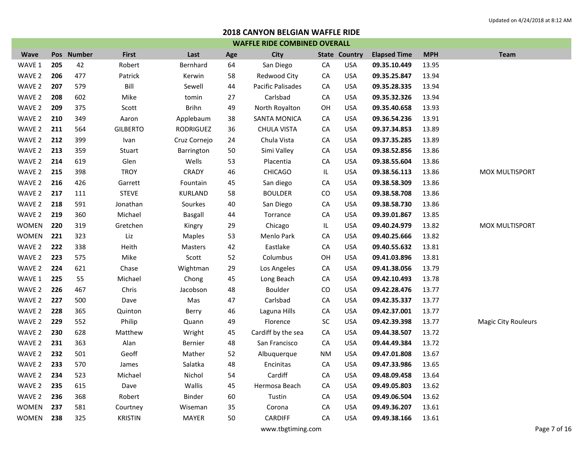| <b>WAFFLE RIDE COMBINED OVERALL</b> |     |            |                 |                |     |                          |            |                      |                     |            |                            |  |
|-------------------------------------|-----|------------|-----------------|----------------|-----|--------------------------|------------|----------------------|---------------------|------------|----------------------------|--|
| <b>Wave</b>                         |     | Pos Number | <b>First</b>    | Last           | Age | <b>City</b>              |            | <b>State Country</b> | <b>Elapsed Time</b> | <b>MPH</b> | <b>Team</b>                |  |
| WAVE 1                              | 205 | 42         | Robert          | Bernhard       | 64  | San Diego                | CA         | <b>USA</b>           | 09.35.10.449        | 13.95      |                            |  |
| WAVE 2                              | 206 | 477        | Patrick         | Kerwin         | 58  | Redwood City             | CA         | <b>USA</b>           | 09.35.25.847        | 13.94      |                            |  |
| WAVE <sub>2</sub>                   | 207 | 579        | Bill            | Sewell         | 44  | <b>Pacific Palisades</b> | CA         | <b>USA</b>           | 09.35.28.335        | 13.94      |                            |  |
| WAVE 2                              | 208 | 602        | Mike            | tomin          | 27  | Carlsbad                 | CA         | <b>USA</b>           | 09.35.32.326        | 13.94      |                            |  |
| WAVE 2                              | 209 | 375        | Scott           | <b>Brihn</b>   | 49  | North Royalton           | OH         | <b>USA</b>           | 09.35.40.658        | 13.93      |                            |  |
| WAVE 2                              | 210 | 349        | Aaron           | Applebaum      | 38  | <b>SANTA MONICA</b>      | CA         | <b>USA</b>           | 09.36.54.236        | 13.91      |                            |  |
| WAVE 2                              | 211 | 564        | <b>GILBERTO</b> | RODRIGUEZ      | 36  | <b>CHULA VISTA</b>       | ${\sf CA}$ | <b>USA</b>           | 09.37.34.853        | 13.89      |                            |  |
| WAVE 2                              | 212 | 399        | Ivan            | Cruz Cornejo   | 24  | Chula Vista              | CA         | <b>USA</b>           | 09.37.35.285        | 13.89      |                            |  |
| WAVE 2                              | 213 | 359        | Stuart          | Barrington     | 50  | Simi Valley              | CA         | <b>USA</b>           | 09.38.52.856        | 13.86      |                            |  |
| WAVE 2                              | 214 | 619        | Glen            | Wells          | 53  | Placentia                | CA         | <b>USA</b>           | 09.38.55.604        | 13.86      |                            |  |
| WAVE 2                              | 215 | 398        | <b>TROY</b>     | CRADY          | 46  | <b>CHICAGO</b>           | IL         | <b>USA</b>           | 09.38.56.113        | 13.86      | MOX MULTISPORT             |  |
| WAVE 2                              | 216 | 426        | Garrett         | Fountain       | 45  | San diego                | CA         | <b>USA</b>           | 09.38.58.309        | 13.86      |                            |  |
| WAVE 2                              | 217 | 111        | <b>STEVE</b>    | <b>KURLAND</b> | 58  | <b>BOULDER</b>           | CO         | <b>USA</b>           | 09.38.58.708        | 13.86      |                            |  |
| WAVE 2                              | 218 | 591        | Jonathan        | Sourkes        | 40  | San Diego                | CA         | <b>USA</b>           | 09.38.58.730        | 13.86      |                            |  |
| WAVE 2                              | 219 | 360        | Michael         | Basgall        | 44  | Torrance                 | CA         | <b>USA</b>           | 09.39.01.867        | 13.85      |                            |  |
| <b>WOMEN</b>                        | 220 | 319        | Gretchen        | Kingry         | 29  | Chicago                  | IL.        | <b>USA</b>           | 09.40.24.979        | 13.82      | <b>MOX MULTISPORT</b>      |  |
| <b>WOMEN</b>                        | 221 | 323        | Liz             | <b>Maples</b>  | 53  | Menlo Park               | CA         | <b>USA</b>           | 09.40.25.666        | 13.82      |                            |  |
| WAVE <sub>2</sub>                   | 222 | 338        | Heith           | Masters        | 42  | Eastlake                 | ${\sf CA}$ | <b>USA</b>           | 09.40.55.632        | 13.81      |                            |  |
| WAVE 2                              | 223 | 575        | Mike            | Scott          | 52  | Columbus                 | OH         | <b>USA</b>           | 09.41.03.896        | 13.81      |                            |  |
| WAVE 2                              | 224 | 621        | Chase           | Wightman       | 29  | Los Angeles              | ${\sf CA}$ | <b>USA</b>           | 09.41.38.056        | 13.79      |                            |  |
| WAVE 1                              | 225 | 55         | Michael         | Chong          | 45  | Long Beach               | CA         | <b>USA</b>           | 09.42.10.493        | 13.78      |                            |  |
| WAVE 2                              | 226 | 467        | Chris           | Jacobson       | 48  | Boulder                  | CO         | <b>USA</b>           | 09.42.28.476        | 13.77      |                            |  |
| WAVE 2                              | 227 | 500        | Dave            | Mas            | 47  | Carlsbad                 | CA         | <b>USA</b>           | 09.42.35.337        | 13.77      |                            |  |
| WAVE 2                              | 228 | 365        | Quinton         | Berry          | 46  | Laguna Hills             | CA         | <b>USA</b>           | 09.42.37.001        | 13.77      |                            |  |
| WAVE 2                              | 229 | 552        | Philip          | Quann          | 49  | Florence                 | SC         | <b>USA</b>           | 09.42.39.398        | 13.77      | <b>Magic City Rouleurs</b> |  |
| WAVE 2                              | 230 | 628        | Matthew         | Wright         | 45  | Cardiff by the sea       | ${\sf CA}$ | <b>USA</b>           | 09.44.38.507        | 13.72      |                            |  |
| WAVE 2                              | 231 | 363        | Alan            | <b>Bernier</b> | 48  | San Francisco            | CA         | <b>USA</b>           | 09.44.49.384        | 13.72      |                            |  |
| WAVE 2                              | 232 | 501        | Geoff           | Mather         | 52  | Albuquerque              | ΝM         | <b>USA</b>           | 09.47.01.808        | 13.67      |                            |  |
| WAVE <sub>2</sub>                   | 233 | 570        | James           | Salatka        | 48  | Encinitas                | CA         | <b>USA</b>           | 09.47.33.986        | 13.65      |                            |  |
| WAVE 2                              | 234 | 523        | Michael         | Nichol         | 54  | Cardiff                  | CA         | <b>USA</b>           | 09.48.09.458        | 13.64      |                            |  |
| WAVE 2                              | 235 | 615        | Dave            | Wallis         | 45  | Hermosa Beach            | CA         | <b>USA</b>           | 09.49.05.803        | 13.62      |                            |  |
| WAVE 2                              | 236 | 368        | Robert          | Binder         | 60  | Tustin                   | CA         | <b>USA</b>           | 09.49.06.504        | 13.62      |                            |  |
| <b>WOMEN</b>                        | 237 | 581        | Courtney        | Wiseman        | 35  | Corona                   | CA         | <b>USA</b>           | 09.49.36.207        | 13.61      |                            |  |
| WOMEN                               | 238 | 325        | <b>KRISTIN</b>  | <b>MAYER</b>   | 50  | <b>CARDIFF</b>           | CA         | <b>USA</b>           | 09.49.38.166        | 13.61      |                            |  |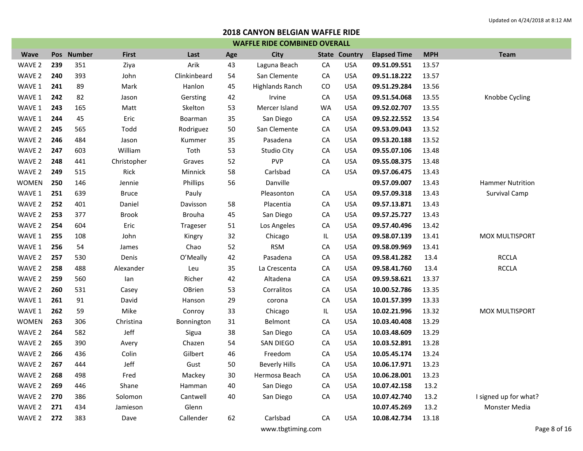|              | <b>WAFFLE RIDE COMBINED OVERALL</b> |            |              |               |     |                        |           |                      |                     |            |                         |  |  |
|--------------|-------------------------------------|------------|--------------|---------------|-----|------------------------|-----------|----------------------|---------------------|------------|-------------------------|--|--|
| <b>Wave</b>  |                                     | Pos Number | <b>First</b> | Last          | Age | City                   |           | <b>State Country</b> | <b>Elapsed Time</b> | <b>MPH</b> | <b>Team</b>             |  |  |
| WAVE 2       | 239                                 | 351        | Ziya         | Arik          | 43  | Laguna Beach           | CA        | <b>USA</b>           | 09.51.09.551        | 13.57      |                         |  |  |
| WAVE 2       | 240                                 | 393        | John         | Clinkinbeard  | 54  | San Clemente           | СA        | <b>USA</b>           | 09.51.18.222        | 13.57      |                         |  |  |
| WAVE 1       | 241                                 | 89         | Mark         | Hanlon        | 45  | <b>Highlands Ranch</b> | CO        | USA                  | 09.51.29.284        | 13.56      |                         |  |  |
| WAVE 1       | 242                                 | 82         | Jason        | Gersting      | 42  | Irvine                 | СA        | <b>USA</b>           | 09.51.54.068        | 13.55      | Knobbe Cycling          |  |  |
| WAVE 1       | 243                                 | 165        | Matt         | Skelton       | 53  | Mercer Island          | <b>WA</b> | <b>USA</b>           | 09.52.02.707        | 13.55      |                         |  |  |
| WAVE 1       | 244                                 | 45         | Eric         | Boarman       | 35  | San Diego              | CA        | <b>USA</b>           | 09.52.22.552        | 13.54      |                         |  |  |
| WAVE 2       | 245                                 | 565        | Todd         | Rodriguez     | 50  | San Clemente           | CA        | <b>USA</b>           | 09.53.09.043        | 13.52      |                         |  |  |
| WAVE 2       | 246                                 | 484        | Jason        | Kummer        | 35  | Pasadena               | СA        | <b>USA</b>           | 09.53.20.188        | 13.52      |                         |  |  |
| WAVE 2       | 247                                 | 603        | William      | Toth          | 53  | Studio City            | CA        | <b>USA</b>           | 09.55.07.106        | 13.48      |                         |  |  |
| WAVE 2       | 248                                 | 441        | Christopher  | Graves        | 52  | <b>PVP</b>             | СA        | <b>USA</b>           | 09.55.08.375        | 13.48      |                         |  |  |
| WAVE 2       | 249                                 | 515        | Rick         | Minnick       | 58  | Carlsbad               | CA        | <b>USA</b>           | 09.57.06.475        | 13.43      |                         |  |  |
| <b>WOMEN</b> | 250                                 | 146        | Jennie       | Phillips      | 56  | Danville               |           |                      | 09.57.09.007        | 13.43      | <b>Hammer Nutrition</b> |  |  |
| WAVE 1       | 251                                 | 639        | <b>Bruce</b> | Pauly         |     | Pleasonton             | CA        | <b>USA</b>           | 09.57.09.318        | 13.43      | Survival Camp           |  |  |
| WAVE 2       | 252                                 | 401        | Daniel       | Davisson      | 58  | Placentia              | CA        | <b>USA</b>           | 09.57.13.871        | 13.43      |                         |  |  |
| WAVE 2       | 253                                 | 377        | <b>Brook</b> | <b>Brouha</b> | 45  | San Diego              | CA        | <b>USA</b>           | 09.57.25.727        | 13.43      |                         |  |  |
| WAVE 2       | 254                                 | 604        | Eric         | Trageser      | 51  | Los Angeles            | СA        | <b>USA</b>           | 09.57.40.496        | 13.42      |                         |  |  |
| WAVE 1       | 255                                 | 108        | John         | Kingry        | 32  | Chicago                | IL.       | <b>USA</b>           | 09.58.07.139        | 13.41      | MOX MULTISPORT          |  |  |
| WAVE 1       | 256                                 | 54         | James        | Chao          | 52  | <b>RSM</b>             | СA        | <b>USA</b>           | 09.58.09.969        | 13.41      |                         |  |  |
| WAVE 2       | 257                                 | 530        | Denis        | O'Meally      | 42  | Pasadena               | CA        | <b>USA</b>           | 09.58.41.282        | 13.4       | <b>RCCLA</b>            |  |  |
| WAVE 2       | 258                                 | 488        | Alexander    | Leu           | 35  | La Crescenta           | CA        | <b>USA</b>           | 09.58.41.760        | 13.4       | <b>RCCLA</b>            |  |  |
| WAVE 2       | 259                                 | 560        | lan          | Richer        | 42  | Altadena               | CA        | <b>USA</b>           | 09.59.58.621        | 13.37      |                         |  |  |
| WAVE 2       | 260                                 | 531        | Casey        | OBrien        | 53  | Corralitos             | CA        | <b>USA</b>           | 10.00.52.786        | 13.35      |                         |  |  |
| WAVE 1       | 261                                 | 91         | David        | Hanson        | 29  | corona                 | CA        | <b>USA</b>           | 10.01.57.399        | 13.33      |                         |  |  |
| WAVE 1       | 262                                 | 59         | Mike         | Conroy        | 33  | Chicago                | IL.       | <b>USA</b>           | 10.02.21.996        | 13.32      | <b>MOX MULTISPORT</b>   |  |  |
| <b>WOMEN</b> | 263                                 | 306        | Christina    | Bonnington    | 31  | Belmont                | CA        | <b>USA</b>           | 10.03.40.408        | 13.29      |                         |  |  |
| WAVE 2       | 264                                 | 582        | Jeff         | Sigua         | 38  | San Diego              | CA        | <b>USA</b>           | 10.03.48.609        | 13.29      |                         |  |  |
| WAVE 2       | 265                                 | 390        | Avery        | Chazen        | 54  | SAN DIEGO              | CA        | <b>USA</b>           | 10.03.52.891        | 13.28      |                         |  |  |
| WAVE 2       | 266                                 | 436        | Colin        | Gilbert       | 46  | Freedom                | CA        | <b>USA</b>           | 10.05.45.174        | 13.24      |                         |  |  |
| WAVE 2       | 267                                 | 444        | Jeff         | Gust          | 50  | <b>Beverly Hills</b>   | СA        | <b>USA</b>           | 10.06.17.971        | 13.23      |                         |  |  |
| WAVE 2       | 268                                 | 498        | Fred         | Mackey        | 30  | Hermosa Beach          | CA        | <b>USA</b>           | 10.06.28.001        | 13.23      |                         |  |  |
| WAVE 2       | 269                                 | 446        | Shane        | Hamman        | 40  | San Diego              | СA        | <b>USA</b>           | 10.07.42.158        | 13.2       |                         |  |  |
| WAVE 2       | 270                                 | 386        | Solomon      | Cantwell      | 40  | San Diego              | СA        | <b>USA</b>           | 10.07.42.740        | 13.2       | I signed up for what?   |  |  |
| WAVE 2       | 271                                 | 434        | Jamieson     | Glenn         |     |                        |           |                      | 10.07.45.269        | 13.2       | Monster Media           |  |  |
| WAVE 2       | 272                                 | 383        | Dave         | Callender     | 62  | Carlsbad               | CA        | <b>USA</b>           | 10.08.42.734        | 13.18      |                         |  |  |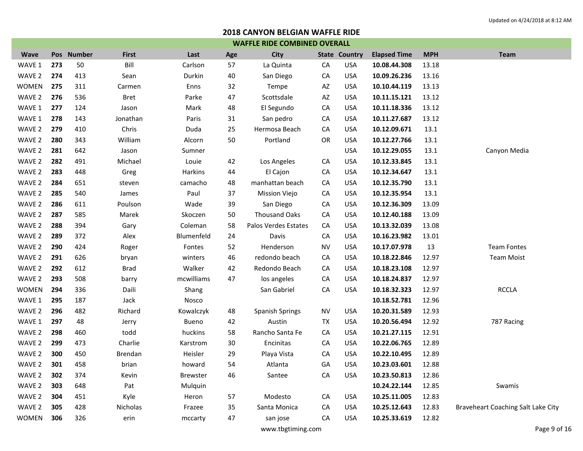|              | <b>WAFFLE RIDE COMBINED OVERALL</b> |            |                |                 |     |                        |    |                      |                     |            |                                    |  |  |
|--------------|-------------------------------------|------------|----------------|-----------------|-----|------------------------|----|----------------------|---------------------|------------|------------------------------------|--|--|
| <b>Wave</b>  |                                     | Pos Number | <b>First</b>   | Last            | Age | <b>City</b>            |    | <b>State Country</b> | <b>Elapsed Time</b> | <b>MPH</b> | <b>Team</b>                        |  |  |
| WAVE 1       | 273                                 | 50         | Bill           | Carlson         | 57  | La Quinta              | CA | <b>USA</b>           | 10.08.44.308        | 13.18      |                                    |  |  |
| WAVE 2       | 274                                 | 413        | Sean           | Durkin          | 40  | San Diego              | CA | <b>USA</b>           | 10.09.26.236        | 13.16      |                                    |  |  |
| <b>WOMEN</b> | 275                                 | 311        | Carmen         | Enns            | 32  | Tempe                  | AZ | <b>USA</b>           | 10.10.44.119        | 13.13      |                                    |  |  |
| WAVE 2       | 276                                 | 536        | Bret           | Parke           | 47  | Scottsdale             | AZ | <b>USA</b>           | 10.11.15.121        | 13.12      |                                    |  |  |
| WAVE 1       | 277                                 | 124        | Jason          | Mark            | 48  | El Segundo             | CA | <b>USA</b>           | 10.11.18.336        | 13.12      |                                    |  |  |
| WAVE 1       | 278                                 | 143        | Jonathan       | Paris           | 31  | San pedro              | CA | <b>USA</b>           | 10.11.27.687        | 13.12      |                                    |  |  |
| WAVE 2       | 279                                 | 410        | Chris          | Duda            | 25  | Hermosa Beach          | CA | <b>USA</b>           | 10.12.09.671        | 13.1       |                                    |  |  |
| WAVE 2       | 280                                 | 343        | William        | Alcorn          | 50  | Portland               | OR | <b>USA</b>           | 10.12.27.766        | 13.1       |                                    |  |  |
| WAVE 2       | 281                                 | 642        | Jason          | Sumner          |     |                        |    | <b>USA</b>           | 10.12.29.055        | 13.1       | Canyon Media                       |  |  |
| WAVE 2       | 282                                 | 491        | Michael        | Louie           | 42  | Los Angeles            | CA | <b>USA</b>           | 10.12.33.845        | 13.1       |                                    |  |  |
| WAVE 2       | 283                                 | 448        | Greg           | <b>Harkins</b>  | 44  | El Cajon               | CA | <b>USA</b>           | 10.12.34.647        | 13.1       |                                    |  |  |
| WAVE 2       | 284                                 | 651        | steven         | camacho         | 48  | manhattan beach        | CA | <b>USA</b>           | 10.12.35.790        | 13.1       |                                    |  |  |
| WAVE 2       | 285                                 | 540        | James          | Paul            | 37  | Mission Viejo          | CA | <b>USA</b>           | 10.12.35.954        | 13.1       |                                    |  |  |
| WAVE 2       | 286                                 | 611        | Poulson        | Wade            | 39  | San Diego              | CA | <b>USA</b>           | 10.12.36.309        | 13.09      |                                    |  |  |
| WAVE 2       | 287                                 | 585        | Marek          | Skoczen         | 50  | <b>Thousand Oaks</b>   | CA | <b>USA</b>           | 10.12.40.188        | 13.09      |                                    |  |  |
| WAVE 2       | 288                                 | 394        | Gary           | Coleman         | 58  | Palos Verdes Estates   | CA | <b>USA</b>           | 10.13.32.039        | 13.08      |                                    |  |  |
| WAVE 2       | 289                                 | 372        | Alex           | Blumenfeld      | 24  | Davis                  | CA | <b>USA</b>           | 10.16.23.982        | 13.01      |                                    |  |  |
| WAVE 2       | 290                                 | 424        | Roger          | Fontes          | 52  | Henderson              | NV | <b>USA</b>           | 10.17.07.978        | 13         | <b>Team Fontes</b>                 |  |  |
| WAVE 2       | 291                                 | 626        | bryan          | winters         | 46  | redondo beach          | CA | <b>USA</b>           | 10.18.22.846        | 12.97      | <b>Team Moist</b>                  |  |  |
| WAVE 2       | 292                                 | 612        | <b>Brad</b>    | Walker          | 42  | Redondo Beach          | CA | <b>USA</b>           | 10.18.23.108        | 12.97      |                                    |  |  |
| WAVE 2       | 293                                 | 508        | barry          | mcwilliams      | 47  | los angeles            | CA | <b>USA</b>           | 10.18.24.837        | 12.97      |                                    |  |  |
| <b>WOMEN</b> | 294                                 | 336        | Daili          | Shang           |     | San Gabriel            | CA | <b>USA</b>           | 10.18.32.323        | 12.97      | <b>RCCLA</b>                       |  |  |
| WAVE 1       | 295                                 | 187        | Jack           | Nosco           |     |                        |    |                      | 10.18.52.781        | 12.96      |                                    |  |  |
| WAVE 2       | 296                                 | 482        | Richard        | Kowalczyk       | 48  | <b>Spanish Springs</b> | NV | <b>USA</b>           | 10.20.31.589        | 12.93      |                                    |  |  |
| WAVE 1       | 297                                 | 48         | Jerry          | Bueno           | 42  | Austin                 | TX | <b>USA</b>           | 10.20.56.494        | 12.92      | 787 Racing                         |  |  |
| WAVE 2       | 298                                 | 460        | todd           | huckins         | 58  | Rancho Santa Fe        | CA | <b>USA</b>           | 10.21.27.115        | 12.91      |                                    |  |  |
| WAVE 2       | 299                                 | 473        | Charlie        | Karstrom        | 30  | Encinitas              | CA | <b>USA</b>           | 10.22.06.765        | 12.89      |                                    |  |  |
| WAVE 2       | 300                                 | 450        | <b>Brendan</b> | Heisler         | 29  | Playa Vista            | CA | <b>USA</b>           | 10.22.10.495        | 12.89      |                                    |  |  |
| WAVE 2       | 301                                 | 458        | brian          | howard          | 54  | Atlanta                | GA | <b>USA</b>           | 10.23.03.601        | 12.88      |                                    |  |  |
| WAVE 2       | 302                                 | 374        | Kevin          | <b>Brewster</b> | 46  | Santee                 | CA | <b>USA</b>           | 10.23.50.813        | 12.86      |                                    |  |  |
| WAVE 2       | 303                                 | 648        | Pat            | Mulquin         |     |                        |    |                      | 10.24.22.144        | 12.85      | Swamis                             |  |  |
| WAVE 2       | 304                                 | 451        | Kyle           | Heron           | 57  | Modesto                | CA | <b>USA</b>           | 10.25.11.005        | 12.83      |                                    |  |  |
| WAVE 2       | 305                                 | 428        | Nicholas       | Frazee          | 35  | Santa Monica           | CA | <b>USA</b>           | 10.25.12.643        | 12.83      | Braveheart Coaching Salt Lake City |  |  |
| <b>WOMEN</b> | 306                                 | 326        | erin           | mccarty         | 47  | san jose               | CA | <b>USA</b>           | 10.25.33.619        | 12.82      |                                    |  |  |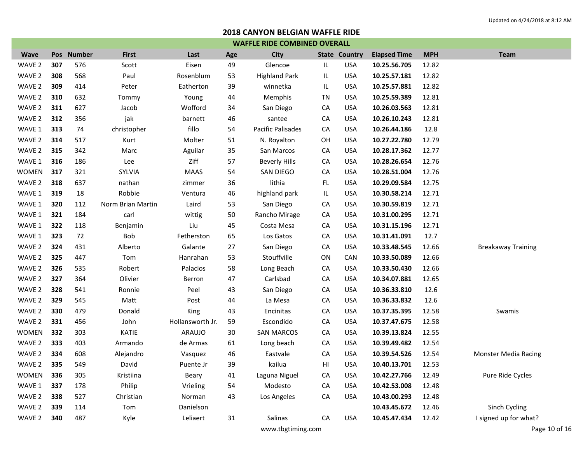|              | <b>WAFFLE RIDE COMBINED OVERALL</b> |            |                   |                  |     |                      |           |                      |                     |            |                             |  |  |
|--------------|-------------------------------------|------------|-------------------|------------------|-----|----------------------|-----------|----------------------|---------------------|------------|-----------------------------|--|--|
| <b>Wave</b>  |                                     | Pos Number | <b>First</b>      | Last             | Age | <b>City</b>          |           | <b>State Country</b> | <b>Elapsed Time</b> | <b>MPH</b> | <b>Team</b>                 |  |  |
| WAVE 2       | 307                                 | 576        | Scott             | Eisen            | 49  | Glencoe              | IL        | <b>USA</b>           | 10.25.56.705        | 12.82      |                             |  |  |
| WAVE 2       | 308                                 | 568        | Paul              | Rosenblum        | 53  | <b>Highland Park</b> | IL        | <b>USA</b>           | 10.25.57.181        | 12.82      |                             |  |  |
| WAVE 2       | 309                                 | 414        | Peter             | Eatherton        | 39  | winnetka             | IL        | <b>USA</b>           | 10.25.57.881        | 12.82      |                             |  |  |
| WAVE 2       | 310                                 | 632        | Tommy             | Young            | 44  | Memphis              | <b>TN</b> | <b>USA</b>           | 10.25.59.389        | 12.81      |                             |  |  |
| WAVE 2       | 311                                 | 627        | Jacob             | Wofford          | 34  | San Diego            | CA        | <b>USA</b>           | 10.26.03.563        | 12.81      |                             |  |  |
| WAVE 2       | 312                                 | 356        | jak               | barnett          | 46  | santee               | CA        | <b>USA</b>           | 10.26.10.243        | 12.81      |                             |  |  |
| WAVE 1       | 313                                 | 74         | christopher       | fillo            | 54  | Pacific Palisades    | CA        | <b>USA</b>           | 10.26.44.186        | 12.8       |                             |  |  |
| WAVE 2       | 314                                 | 517        | Kurt              | Molter           | 51  | N. Royalton          | OH        | <b>USA</b>           | 10.27.22.780        | 12.79      |                             |  |  |
| WAVE 2       | 315                                 | 342        | Marc              | Aguilar          | 35  | San Marcos           | CA        | <b>USA</b>           | 10.28.17.362        | 12.77      |                             |  |  |
| WAVE 1       | 316                                 | 186        | Lee               | Ziff             | 57  | <b>Beverly Hills</b> | CA        | <b>USA</b>           | 10.28.26.654        | 12.76      |                             |  |  |
| <b>WOMEN</b> | 317                                 | 321        | SYLVIA            | <b>MAAS</b>      | 54  | SAN DIEGO            | CA        | <b>USA</b>           | 10.28.51.004        | 12.76      |                             |  |  |
| WAVE 2       | 318                                 | 637        | nathan            | zimmer           | 36  | lithia               | FL.       | <b>USA</b>           | 10.29.09.584        | 12.75      |                             |  |  |
| WAVE 1       | 319                                 | 18         | Robbie            | Ventura          | 46  | highland park        | IL        | <b>USA</b>           | 10.30.58.214        | 12.71      |                             |  |  |
| WAVE 1       | 320                                 | 112        | Norm Brian Martin | Laird            | 53  | San Diego            | CA        | <b>USA</b>           | 10.30.59.819        | 12.71      |                             |  |  |
| WAVE 1       | 321                                 | 184        | carl              | wittig           | 50  | Rancho Mirage        | CA        | <b>USA</b>           | 10.31.00.295        | 12.71      |                             |  |  |
| WAVE 1       | 322                                 | 118        | Benjamin          | Liu              | 45  | Costa Mesa           | CA        | <b>USA</b>           | 10.31.15.196        | 12.71      |                             |  |  |
| WAVE 1       | 323                                 | 72         | Bob               | Fetherston       | 65  | Los Gatos            | CA        | <b>USA</b>           | 10.31.41.091        | 12.7       |                             |  |  |
| WAVE 2       | 324                                 | 431        | Alberto           | Galante          | 27  | San Diego            | CA        | <b>USA</b>           | 10.33.48.545        | 12.66      | <b>Breakaway Training</b>   |  |  |
| WAVE 2       | 325                                 | 447        | Tom               | Hanrahan         | 53  | Stouffville          | ON        | CAN                  | 10.33.50.089        | 12.66      |                             |  |  |
| WAVE 2       | 326                                 | 535        | Robert            | Palacios         | 58  | Long Beach           | CA        | <b>USA</b>           | 10.33.50.430        | 12.66      |                             |  |  |
| WAVE 2       | 327                                 | 364        | Olivier           | Berron           | 47  | Carlsbad             | CA        | <b>USA</b>           | 10.34.07.881        | 12.65      |                             |  |  |
| WAVE 2       | 328                                 | 541        | Ronnie            | Peel             | 43  | San Diego            | CA        | <b>USA</b>           | 10.36.33.810        | 12.6       |                             |  |  |
| WAVE 2       | 329                                 | 545        | Matt              | Post             | 44  | La Mesa              | CA        | <b>USA</b>           | 10.36.33.832        | 12.6       |                             |  |  |
| WAVE 2       | 330                                 | 479        | Donald            | King             | 43  | Encinitas            | CA        | <b>USA</b>           | 10.37.35.395        | 12.58      | Swamis                      |  |  |
| WAVE 2       | 331                                 | 456        | John              | Hollansworth Jr. | 59  | Escondido            | CA        | <b>USA</b>           | 10.37.47.675        | 12.58      |                             |  |  |
| <b>WOMEN</b> | 332                                 | 303        | KATIE             | ARAUJO           | 30  | <b>SAN MARCOS</b>    | CA        | <b>USA</b>           | 10.39.13.824        | 12.55      |                             |  |  |
| WAVE 2       | 333                                 | 403        | Armando           | de Armas         | 61  | Long beach           | CA        | <b>USA</b>           | 10.39.49.482        | 12.54      |                             |  |  |
| WAVE 2       | 334                                 | 608        | Alejandro         | Vasquez          | 46  | Eastvale             | CA        | <b>USA</b>           | 10.39.54.526        | 12.54      | <b>Monster Media Racing</b> |  |  |
| WAVE 2       | 335                                 | 549        | David             | Puente Jr        | 39  | kailua               | HI        | <b>USA</b>           | 10.40.13.701        | 12.53      |                             |  |  |
| <b>WOMEN</b> | 336                                 | 305        | Kristiina         | Beary            | 41  | Laguna Niguel        | CA        | <b>USA</b>           | 10.42.27.766        | 12.49      | Pure Ride Cycles            |  |  |
| WAVE 1       | 337                                 | 178        | Philip            | Vrieling         | 54  | Modesto              | CA        | <b>USA</b>           | 10.42.53.008        | 12.48      |                             |  |  |
| WAVE 2       | 338                                 | 527        | Christian         | Norman           | 43  | Los Angeles          | CA        | <b>USA</b>           | 10.43.00.293        | 12.48      |                             |  |  |
| WAVE 2       | 339                                 | 114        | Tom               | Danielson        |     |                      |           |                      | 10.43.45.672        | 12.46      | Sinch Cycling               |  |  |
| WAVE 2       | 340                                 | 487        | Kyle              | Leliaert         | 31  | Salinas              | CA        | <b>USA</b>           | 10.45.47.434        | 12.42      | I signed up for what?       |  |  |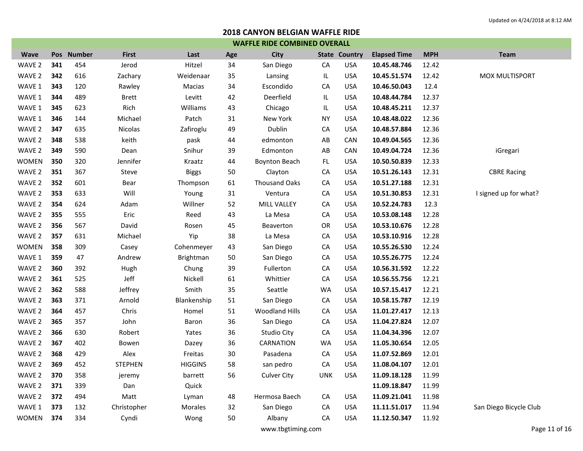|              | <b>WAFFLE RIDE COMBINED OVERALL</b> |            |                |                  |     |                       |            |                      |                     |            |                        |  |  |
|--------------|-------------------------------------|------------|----------------|------------------|-----|-----------------------|------------|----------------------|---------------------|------------|------------------------|--|--|
| <b>Wave</b>  |                                     | Pos Number | <b>First</b>   | Last             | Age | <b>City</b>           |            | <b>State Country</b> | <b>Elapsed Time</b> | <b>MPH</b> | <b>Team</b>            |  |  |
| WAVE 2       | 341                                 | 454        | Jerod          | Hitzel           | 34  | San Diego             | CA         | <b>USA</b>           | 10.45.48.746        | 12.42      |                        |  |  |
| WAVE 2       | 342                                 | 616        | Zachary        | Weidenaar        | 35  | Lansing               | IL         | USA                  | 10.45.51.574        | 12.42      | MOX MULTISPORT         |  |  |
| WAVE 1       | 343                                 | 120        | Rawley         | Macias           | 34  | Escondido             | CA         | <b>USA</b>           | 10.46.50.043        | 12.4       |                        |  |  |
| WAVE 1       | 344                                 | 489        | <b>Brett</b>   | Levitt           | 42  | Deerfield             | IL         | <b>USA</b>           | 10.48.44.784        | 12.37      |                        |  |  |
| WAVE 1       | 345                                 | 623        | Rich           | Williams         | 43  | Chicago               | IL         | <b>USA</b>           | 10.48.45.211        | 12.37      |                        |  |  |
| WAVE 1       | 346                                 | 144        | Michael        | Patch            | 31  | New York              | ΝY         | <b>USA</b>           | 10.48.48.022        | 12.36      |                        |  |  |
| WAVE 2       | 347                                 | 635        | Nicolas        | Zafiroglu        | 49  | Dublin                | CA         | <b>USA</b>           | 10.48.57.884        | 12.36      |                        |  |  |
| WAVE 2       | 348                                 | 538        | keith          | pask             | 44  | edmonton              | AB         | CAN                  | 10.49.04.565        | 12.36      |                        |  |  |
| WAVE 2       | 349                                 | 590        | Dean           | Snihur           | 39  | Edmonton              | AB         | CAN                  | 10.49.04.724        | 12.36      | iGregari               |  |  |
| <b>WOMEN</b> | 350                                 | 320        | Jennifer       | Kraatz           | 44  | <b>Boynton Beach</b>  | FL         | <b>USA</b>           | 10.50.50.839        | 12.33      |                        |  |  |
| WAVE 2       | 351                                 | 367        | Steve          | <b>Biggs</b>     | 50  | Clayton               | CA         | <b>USA</b>           | 10.51.26.143        | 12.31      | <b>CBRE Racing</b>     |  |  |
| WAVE 2       | 352                                 | 601        | Bear           | Thompson         | 61  | <b>Thousand Oaks</b>  | CA         | <b>USA</b>           | 10.51.27.188        | 12.31      |                        |  |  |
| WAVE 2       | 353                                 | 633        | Will           | Young            | 31  | Ventura               | CA         | USA                  | 10.51.30.853        | 12.31      | I signed up for what?  |  |  |
| WAVE 2       | 354                                 | 624        | Adam           | Willner          | 52  | MILL VALLEY           | CA         | USA                  | 10.52.24.783        | 12.3       |                        |  |  |
| WAVE 2       | 355                                 | 555        | Eric           | Reed             | 43  | La Mesa               | CA         | <b>USA</b>           | 10.53.08.148        | 12.28      |                        |  |  |
| WAVE 2       | 356                                 | 567        | David          | Rosen            | 45  | Beaverton             | <b>OR</b>  | <b>USA</b>           | 10.53.10.676        | 12.28      |                        |  |  |
| WAVE 2       | 357                                 | 631        | Michael        | Yip              | 38  | La Mesa               | CA         | <b>USA</b>           | 10.53.10.916        | 12.28      |                        |  |  |
| <b>WOMEN</b> | 358                                 | 309        | Casey          | Cohenmeyer       | 43  | San Diego             | CA         | <b>USA</b>           | 10.55.26.530        | 12.24      |                        |  |  |
| WAVE 1       | 359                                 | 47         | Andrew         | <b>Brightman</b> | 50  | San Diego             | CA         | <b>USA</b>           | 10.55.26.775        | 12.24      |                        |  |  |
| WAVE 2       | 360                                 | 392        | Hugh           | Chung            | 39  | Fullerton             | CA         | <b>USA</b>           | 10.56.31.592        | 12.22      |                        |  |  |
| WAVE 2       | 361                                 | 525        | Jeff           | Nickell          | 61  | Whittier              | CA         | <b>USA</b>           | 10.56.55.756        | 12.21      |                        |  |  |
| WAVE 2       | 362                                 | 588        | Jeffrey        | Smith            | 35  | Seattle               | WA         | <b>USA</b>           | 10.57.15.417        | 12.21      |                        |  |  |
| WAVE 2       | 363                                 | 371        | Arnold         | Blankenship      | 51  | San Diego             | CA         | <b>USA</b>           | 10.58.15.787        | 12.19      |                        |  |  |
| WAVE 2       | 364                                 | 457        | Chris          | Homel            | 51  | <b>Woodland Hills</b> | CA         | <b>USA</b>           | 11.01.27.417        | 12.13      |                        |  |  |
| WAVE 2       | 365                                 | 357        | John           | Baron            | 36  | San Diego             | CA         | <b>USA</b>           | 11.04.27.824        | 12.07      |                        |  |  |
| WAVE 2       | 366                                 | 630        | Robert         | Yates            | 36  | Studio City           | CA         | USA                  | 11.04.34.396        | 12.07      |                        |  |  |
| WAVE 2       | 367                                 | 402        | Bowen          | Dazey            | 36  | CARNATION             | WA         | <b>USA</b>           | 11.05.30.654        | 12.05      |                        |  |  |
| WAVE 2       | 368                                 | 429        | Alex           | Freitas          | 30  | Pasadena              | CA         | <b>USA</b>           | 11.07.52.869        | 12.01      |                        |  |  |
| WAVE 2       | 369                                 | 452        | <b>STEPHEN</b> | <b>HIGGINS</b>   | 58  | san pedro             | CA         | <b>USA</b>           | 11.08.04.107        | 12.01      |                        |  |  |
| WAVE 2       | 370                                 | 358        | jeremy         | barrett          | 56  | <b>Culver City</b>    | <b>UNK</b> | <b>USA</b>           | 11.09.18.128        | 11.99      |                        |  |  |
| WAVE 2       | 371                                 | 339        | Dan            | Quick            |     |                       |            |                      | 11.09.18.847        | 11.99      |                        |  |  |
| WAVE 2       | 372                                 | 494        | Matt           | Lyman            | 48  | Hermosa Baech         | CA         | <b>USA</b>           | 11.09.21.041        | 11.98      |                        |  |  |
| WAVE 1       | 373                                 | 132        | Christopher    | Morales          | 32  | San Diego             | CA         | <b>USA</b>           | 11.11.51.017        | 11.94      | San Diego Bicycle Club |  |  |
| <b>WOMEN</b> | 374                                 | 334        | Cyndi          | Wong             | 50  | Albany                | CA         | USA                  | 11.12.50.347        | 11.92      |                        |  |  |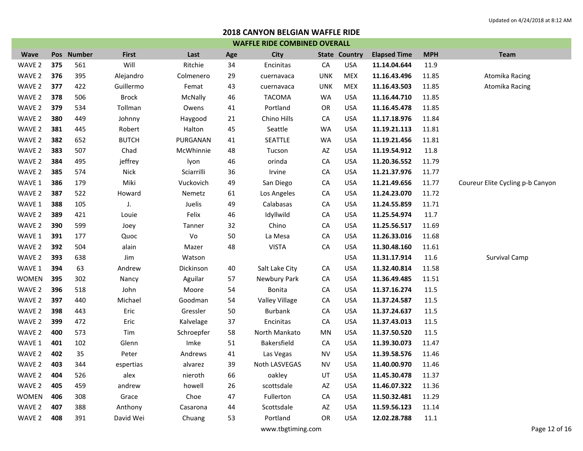| <b>Wave</b>  |     | Pos Number | <b>First</b> | Last       | Age | <b>City</b>           |            | <b>State Country</b> | <b>Elapsed Time</b> | <b>MPH</b> | <b>Team</b>                      |
|--------------|-----|------------|--------------|------------|-----|-----------------------|------------|----------------------|---------------------|------------|----------------------------------|
| WAVE 2       | 375 | 561        | Will         | Ritchie    | 34  | Encinitas             | CA         | <b>USA</b>           | 11.14.04.644        | 11.9       |                                  |
| WAVE 2       | 376 | 395        | Alejandro    | Colmenero  | 29  | cuernavaca            | <b>UNK</b> | <b>MEX</b>           | 11.16.43.496        | 11.85      | Atomika Racing                   |
| WAVE 2       | 377 | 422        | Guillermo    | Femat      | 43  | cuernavaca            | <b>UNK</b> | <b>MEX</b>           | 11.16.43.503        | 11.85      | Atomika Racing                   |
| WAVE 2       | 378 | 506        | <b>Brock</b> | McNally    | 46  | <b>TACOMA</b>         | WA         | <b>USA</b>           | 11.16.44.710        | 11.85      |                                  |
| WAVE 2       | 379 | 534        | Tollman      | Owens      | 41  | Portland              | <b>OR</b>  | <b>USA</b>           | 11.16.45.478        | 11.85      |                                  |
| WAVE 2       | 380 | 449        | Johnny       | Haygood    | 21  | Chino Hills           | CA         | <b>USA</b>           | 11.17.18.976        | 11.84      |                                  |
| WAVE 2       | 381 | 445        | Robert       | Halton     | 45  | Seattle               | WA         | <b>USA</b>           | 11.19.21.113        | 11.81      |                                  |
| WAVE 2       | 382 | 652        | <b>BUTCH</b> | PURGANAN   | 41  | SEATTLE               | WA         | <b>USA</b>           | 11.19.21.456        | 11.81      |                                  |
| WAVE 2       | 383 | 507        | Chad         | McWhinnie  | 48  | Tucson                | AZ         | <b>USA</b>           | 11.19.54.912        | 11.8       |                                  |
| WAVE 2       | 384 | 495        | jeffrey      | lyon       | 46  | orinda                | CA         | <b>USA</b>           | 11.20.36.552        | 11.79      |                                  |
| WAVE 2       | 385 | 574        | <b>Nick</b>  | Sciarrilli | 36  | Irvine                | CA         | <b>USA</b>           | 11.21.37.976        | 11.77      |                                  |
| WAVE 1       | 386 | 179        | Miki         | Vuckovich  | 49  | San Diego             | CA         | <b>USA</b>           | 11.21.49.656        | 11.77      | Coureur Elite Cycling p-b Canyon |
| WAVE 2       | 387 | 522        | Howard       | Nemetz     | 61  | Los Angeles           | CA         | <b>USA</b>           | 11.24.23.070        | 11.72      |                                  |
| WAVE 1       | 388 | 105        | J.           | Juelis     | 49  | Calabasas             | CA         | <b>USA</b>           | 11.24.55.859        | 11.71      |                                  |
| WAVE 2       | 389 | 421        | Louie        | Felix      | 46  | Idyllwild             | CA         | <b>USA</b>           | 11.25.54.974        | 11.7       |                                  |
| WAVE 2       | 390 | 599        | Joey         | Tanner     | 32  | Chino                 | CA         | <b>USA</b>           | 11.25.56.517        | 11.69      |                                  |
| WAVE 1       | 391 | 177        | Quoc         | Vo         | 50  | La Mesa               | CA         | <b>USA</b>           | 11.26.33.016        | 11.68      |                                  |
| WAVE 2       | 392 | 504        | alain        | Mazer      | 48  | <b>VISTA</b>          | CA         | <b>USA</b>           | 11.30.48.160        | 11.61      |                                  |
| WAVE 2       | 393 | 638        | Jim          | Watson     |     |                       |            | <b>USA</b>           | 11.31.17.914        | 11.6       | <b>Survival Camp</b>             |
| WAVE 1       | 394 | 63         | Andrew       | Dickinson  | 40  | Salt Lake City        | CA         | <b>USA</b>           | 11.32.40.814        | 11.58      |                                  |
| <b>WOMEN</b> | 395 | 302        | Nancy        | Aguilar    | 57  | Newbury Park          | CA         | <b>USA</b>           | 11.36.49.485        | 11.51      |                                  |
| WAVE 2       | 396 | 518        | John         | Moore      | 54  | Bonita                | CA         | <b>USA</b>           | 11.37.16.274        | 11.5       |                                  |
| WAVE 2       | 397 | 440        | Michael      | Goodman    | 54  | <b>Valley Village</b> | CA         | <b>USA</b>           | 11.37.24.587        | 11.5       |                                  |
| WAVE 2       | 398 | 443        | Eric         | Gressler   | 50  | <b>Burbank</b>        | CA         | <b>USA</b>           | 11.37.24.637        | 11.5       |                                  |
| WAVE 2       | 399 | 472        | Eric         | Kalvelage  | 37  | Encinitas             | CA         | <b>USA</b>           | 11.37.43.013        | 11.5       |                                  |
| WAVE 2       | 400 | 573        | Tim          | Schroepfer | 58  | North Mankato         | MN         | <b>USA</b>           | 11.37.50.520        | 11.5       |                                  |
| WAVE 1       | 401 | 102        | Glenn        | Imke       | 51  | Bakersfield           | CA         | <b>USA</b>           | 11.39.30.073        | 11.47      |                                  |
| WAVE 2       | 402 | 35         | Peter        | Andrews    | 41  | Las Vegas             | <b>NV</b>  | <b>USA</b>           | 11.39.58.576        | 11.46      |                                  |
| WAVE 2       | 403 | 344        | espertias    | alvarez    | 39  | Noth LASVEGAS         | <b>NV</b>  | <b>USA</b>           | 11.40.00.970        | 11.46      |                                  |
| WAVE 2       | 404 | 526        | alex         | nieroth    | 66  | oakley                | UT         | <b>USA</b>           | 11.45.30.478        | 11.37      |                                  |
| WAVE 2       | 405 | 459        | andrew       | howell     | 26  | scottsdale            | AZ         | <b>USA</b>           | 11.46.07.322        | 11.36      |                                  |
| <b>WOMEN</b> | 406 | 308        | Grace        | Choe       | 47  | Fullerton             | CA         | <b>USA</b>           | 11.50.32.481        | 11.29      |                                  |
| WAVE 2       | 407 | 388        | Anthony      | Casarona   | 44  | Scottsdale            | AZ         | <b>USA</b>           | 11.59.56.123        | 11.14      |                                  |
| WAVE 2       | 408 | 391        | David Wei    | Chuang     | 53  | Portland              | OR         | <b>USA</b>           | 12.02.28.788        | 11.1       |                                  |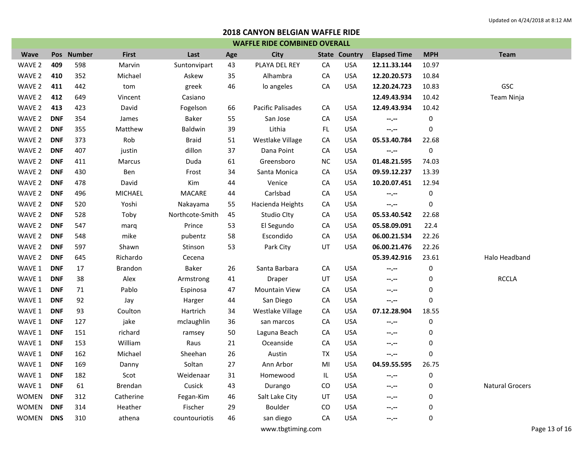| <b>WAFFLE RIDE COMBINED OVERALL</b> |            |            |                |                 |     |                      |           |                      |                     |            |                        |
|-------------------------------------|------------|------------|----------------|-----------------|-----|----------------------|-----------|----------------------|---------------------|------------|------------------------|
| <b>Wave</b>                         |            | Pos Number | <b>First</b>   | Last            | Age | <b>City</b>          |           | <b>State Country</b> | <b>Elapsed Time</b> | <b>MPH</b> | <b>Team</b>            |
| WAVE 2                              | 409        | 598        | Marvin         | Suntonvipart    | 43  | PLAYA DEL REY        | CA        | <b>USA</b>           | 12.11.33.144        | 10.97      |                        |
| WAVE <sub>2</sub>                   | 410        | 352        | Michael        | Askew           | 35  | Alhambra             | CA        | <b>USA</b>           | 12.20.20.573        | 10.84      |                        |
| WAVE 2                              | 411        | 442        | tom            | greek           | 46  | lo angeles           | CA        | <b>USA</b>           | 12.20.24.723        | 10.83      | GSC                    |
| WAVE 2                              | 412        | 649        | Vincent        | Casiano         |     |                      |           |                      | 12.49.43.934        | 10.42      | Team Ninja             |
| WAVE 2                              | 413        | 423        | David          | Fogelson        | 66  | Pacific Palisades    | CA        | <b>USA</b>           | 12.49.43.934        | 10.42      |                        |
| WAVE 2                              | <b>DNF</b> | 354        | James          | Baker           | 55  | San Jose             | CA        | <b>USA</b>           | $-1 - 1 - 1 = 0$    | 0          |                        |
| WAVE 2                              | <b>DNF</b> | 355        | Matthew        | Baldwin         | 39  | Lithia               | FL.       | <b>USA</b>           | $-2 - 1$            | 0          |                        |
| WAVE <sub>2</sub>                   | <b>DNF</b> | 373        | Rob            | <b>Braid</b>    | 51  | Westlake Village     | CA        | <b>USA</b>           | 05.53.40.784        | 22.68      |                        |
| WAVE <sub>2</sub>                   | <b>DNF</b> | 407        | justin         | dillon          | 37  | Dana Point           | CA        | <b>USA</b>           | $-2 - 1$            | 0          |                        |
| WAVE 2                              | <b>DNF</b> | 411        | Marcus         | Duda            | 61  | Greensboro           | <b>NC</b> | <b>USA</b>           | 01.48.21.595        | 74.03      |                        |
| WAVE <sub>2</sub>                   | <b>DNF</b> | 430        | Ben            | Frost           | 34  | Santa Monica         | CA        | <b>USA</b>           | 09.59.12.237        | 13.39      |                        |
| WAVE 2                              | <b>DNF</b> | 478        | David          | Kim             | 44  | Venice               | CA        | <b>USA</b>           | 10.20.07.451        | 12.94      |                        |
| WAVE 2                              | <b>DNF</b> | 496        | MICHAEL        | MACARE          | 44  | Carlsbad             | CA        | <b>USA</b>           | $- - - - -$         | 0          |                        |
| WAVE 2                              | <b>DNF</b> | 520        | Yoshi          | Nakayama        | 55  | Hacienda Heights     | CA        | <b>USA</b>           | $- - - - -$         | 0          |                        |
| WAVE <sub>2</sub>                   | <b>DNF</b> | 528        | Toby           | Northcote-Smith | 45  | <b>Studio Clty</b>   | CA        | <b>USA</b>           | 05.53.40.542        | 22.68      |                        |
| WAVE 2                              | <b>DNF</b> | 547        | marq           | Prince          | 53  | El Segundo           | CA        | <b>USA</b>           | 05.58.09.091        | 22.4       |                        |
| WAVE 2                              | <b>DNF</b> | 548        | mike           | pubentz         | 58  | Escondido            | CA        | <b>USA</b>           | 06.00.21.534        | 22.26      |                        |
| WAVE 2                              | <b>DNF</b> | 597        | Shawn          | <b>Stinson</b>  | 53  | Park City            | UT        | <b>USA</b>           | 06.00.21.476        | 22.26      |                        |
| WAVE 2                              | <b>DNF</b> | 645        | Richardo       | Cecena          |     |                      |           |                      | 05.39.42.916        | 23.61      | Halo Headband          |
| WAVE 1                              | <b>DNF</b> | 17         | <b>Brandon</b> | Baker           | 26  | Santa Barbara        | CA        | <b>USA</b>           | $- - - - -$         | 0          |                        |
| WAVE 1                              | <b>DNF</b> | 38         | Alex           | Armstrong       | 41  | Draper               | UT        | <b>USA</b>           | --.--               | 0          | <b>RCCLA</b>           |
| WAVE 1                              | <b>DNF</b> | 71         | Pablo          | Espinosa        | 47  | <b>Mountain View</b> | CA        | <b>USA</b>           | $-1 - 1 - 1 = 0$    | 0          |                        |
| WAVE 1                              | <b>DNF</b> | 92         | Jay            | Harger          | 44  | San Diego            | CA        | <b>USA</b>           | $- - - - -$         | 0          |                        |
| WAVE 1                              | <b>DNF</b> | 93         | Coulton        | Hartrich        | 34  | Westlake Village     | CA        | <b>USA</b>           | 07.12.28.904        | 18.55      |                        |
| WAVE 1                              | <b>DNF</b> | 127        | jake           | mclaughlin      | 36  | san marcos           | CA        | <b>USA</b>           | $-1 - 1 - 1 = 0$    | 0          |                        |
| WAVE 1                              | <b>DNF</b> | 151        | richard        | ramsey          | 50  | Laguna Beach         | CA        | <b>USA</b>           | $-1 - 1 - 1 = 0$    | 0          |                        |
| WAVE 1                              | <b>DNF</b> | 153        | William        | Raus            | 21  | Oceanside            | CA        | <b>USA</b>           | --.--               | 0          |                        |
| WAVE 1                              | <b>DNF</b> | 162        | Michael        | Sheehan         | 26  | Austin               | <b>TX</b> | <b>USA</b>           | $-1 - 1 - 1 = 0$    | 0          |                        |
| WAVE 1                              | <b>DNF</b> | 169        | Danny          | Soltan          | 27  | Ann Arbor            | MI        | <b>USA</b>           | 04.59.55.595        | 26.75      |                        |
| WAVE 1                              | <b>DNF</b> | 182        | Scot           | Weidenaar       | 31  | Homewood             | IL.       | <b>USA</b>           | --.--               | 0          |                        |
| WAVE 1                              | <b>DNF</b> | 61         | Brendan        | Cusick          | 43  | Durango              | CO        | <b>USA</b>           | --.--               | 0          | <b>Natural Grocers</b> |
| <b>WOMEN</b>                        | <b>DNF</b> | 312        | Catherine      | Fegan-Kim       | 46  | Salt Lake City       | UT        | <b>USA</b>           | $- - - - -$         | 0          |                        |
| <b>WOMEN</b>                        | <b>DNF</b> | 314        | Heather        | Fischer         | 29  | Boulder              | CO        | <b>USA</b>           | $-1 - 1 - 1 = 0$    | 0          |                        |
| WOMEN                               | <b>DNS</b> | 310        | athena         | countouriotis   | 46  | san diego            | CA        | <b>USA</b>           | $- - - -$           | 0          |                        |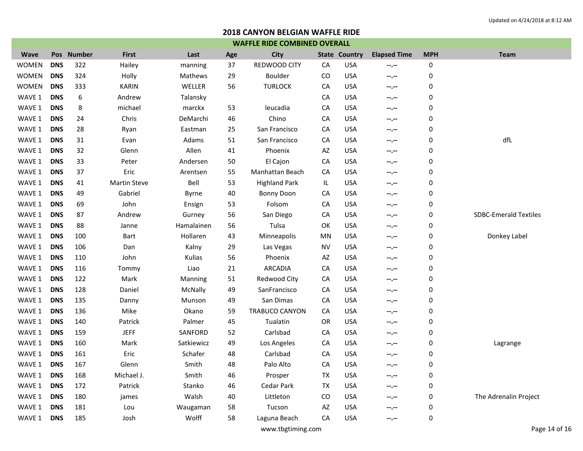| <b>WAFFLE RIDE COMBINED OVERALL</b> |            |            |                     |            |     |                       |           |                      |                     |            |                              |
|-------------------------------------|------------|------------|---------------------|------------|-----|-----------------------|-----------|----------------------|---------------------|------------|------------------------------|
| <b>Wave</b>                         |            | Pos Number | <b>First</b>        | Last       | Age | <b>City</b>           |           | <b>State Country</b> | <b>Elapsed Time</b> | <b>MPH</b> | <b>Team</b>                  |
| <b>WOMEN</b>                        | <b>DNS</b> | 322        | Hailey              | manning    | 37  | REDWOOD CITY          | CA        | <b>USA</b>           | --.--               | 0          |                              |
| <b>WOMEN</b>                        | <b>DNS</b> | 324        | Holly               | Mathews    | 29  | Boulder               | CO        | <b>USA</b>           | --.--               | 0          |                              |
| <b>WOMEN</b>                        | <b>DNS</b> | 333        | <b>KARIN</b>        | WELLER     | 56  | <b>TURLOCK</b>        | CA        | <b>USA</b>           | --.--               | 0          |                              |
| WAVE 1                              | <b>DNS</b> | 6          | Andrew              | Talansky   |     |                       | CA        | <b>USA</b>           | --.--               | 0          |                              |
| WAVE 1                              | <b>DNS</b> | 8          | michael             | marckx     | 53  | leucadia              | CA        | <b>USA</b>           | --.--               | 0          |                              |
| WAVE 1                              | <b>DNS</b> | 24         | Chris               | DeMarchi   | 46  | Chino                 | CA        | <b>USA</b>           | --.--               | 0          |                              |
| WAVE 1                              | <b>DNS</b> | 28         | Ryan                | Eastman    | 25  | San Francisco         | CA        | <b>USA</b>           | --.--               | 0          |                              |
| WAVE 1                              | <b>DNS</b> | 31         | Evan                | Adams      | 51  | San Francisco         | CA        | <b>USA</b>           | --.--               | 0          | dfL                          |
| WAVE 1                              | <b>DNS</b> | 32         | Glenn               | Allen      | 41  | Phoenix               | AZ        | <b>USA</b>           | --.--               | 0          |                              |
| WAVE 1                              | <b>DNS</b> | 33         | Peter               | Andersen   | 50  | El Cajon              | CA        | <b>USA</b>           | --.--               | 0          |                              |
| WAVE 1                              | <b>DNS</b> | 37         | Eric                | Arentsen   | 55  | Manhattan Beach       | CA        | <b>USA</b>           | --.--               | 0          |                              |
| WAVE 1                              | <b>DNS</b> | 41         | <b>Martin Steve</b> | Bell       | 53  | <b>Highland Park</b>  | IL        | <b>USA</b>           | --.--               | 0          |                              |
| WAVE 1                              | <b>DNS</b> | 49         | Gabriel             | Byrne      | 40  | <b>Bonny Doon</b>     | CA        | <b>USA</b>           | --.--               | 0          |                              |
| WAVE 1                              | <b>DNS</b> | 69         | John                | Ensign     | 53  | Folsom                | CA        | <b>USA</b>           | --.--               | 0          |                              |
| WAVE 1                              | <b>DNS</b> | 87         | Andrew              | Gurney     | 56  | San Diego             | CA        | <b>USA</b>           | --.--               | 0          | <b>SDBC-Emerald Textiles</b> |
| WAVE 1                              | <b>DNS</b> | 88         | Janne               | Hamalainen | 56  | Tulsa                 | OK        | <b>USA</b>           | --.--               | 0          |                              |
| WAVE 1                              | <b>DNS</b> | 100        | Bart                | Hollaren   | 43  | Minneapolis           | ΜN        | <b>USA</b>           | --.--               | 0          | Donkey Label                 |
| WAVE 1                              | <b>DNS</b> | 106        | Dan                 | Kalny      | 29  | Las Vegas             | <b>NV</b> | <b>USA</b>           | --.--               | 0          |                              |
| WAVE 1                              | <b>DNS</b> | 110        | John                | Kulias     | 56  | Phoenix               | AZ        | <b>USA</b>           | --.--               | 0          |                              |
| WAVE 1                              | <b>DNS</b> | 116        | Tommy               | Liao       | 21  | <b>ARCADIA</b>        | CA        | <b>USA</b>           | --.--               | 0          |                              |
| WAVE 1                              | <b>DNS</b> | 122        | Mark                | Manning    | 51  | Redwood City          | CA        | <b>USA</b>           | --.--               | 0          |                              |
| WAVE 1                              | <b>DNS</b> | 128        | Daniel              | McNally    | 49  | SanFrancisco          | CA        | <b>USA</b>           | --.--               | 0          |                              |
| WAVE 1                              | <b>DNS</b> | 135        | Danny               | Munson     | 49  | San Dimas             | CA        | <b>USA</b>           | --.--               | 0          |                              |
| WAVE 1                              | <b>DNS</b> | 136        | Mike                | Okano      | 59  | <b>TRABUCO CANYON</b> | CA        | <b>USA</b>           | --.--               | 0          |                              |
| WAVE 1                              | <b>DNS</b> | 140        | Patrick             | Palmer     | 45  | Tualatin              | OR        | <b>USA</b>           | --.--               | 0          |                              |
| WAVE 1                              | <b>DNS</b> | 159        | <b>JEFF</b>         | SANFORD    | 52  | Carlsbad              | CA        | <b>USA</b>           | --.--               | 0          |                              |
| WAVE 1                              | <b>DNS</b> | 160        | Mark                | Satkiewicz | 49  | Los Angeles           | CA        | <b>USA</b>           | --.--               | 0          | Lagrange                     |
| WAVE 1                              | <b>DNS</b> | 161        | Eric                | Schafer    | 48  | Carlsbad              | CA        | <b>USA</b>           | --.--               | 0          |                              |
| WAVE 1                              | <b>DNS</b> | 167        | Glenn               | Smith      | 48  | Palo Alto             | CA        | <b>USA</b>           | --.--               | 0          |                              |
| WAVE 1                              | <b>DNS</b> | 168        | Michael J.          | Smith      | 46  | Prosper               | <b>TX</b> | <b>USA</b>           | --.--               | 0          |                              |
| WAVE 1                              | <b>DNS</b> | 172        | Patrick             | Stanko     | 46  | Cedar Park            | <b>TX</b> | <b>USA</b>           | --.--               | 0          |                              |
| WAVE 1                              | <b>DNS</b> | 180        | james               | Walsh      | 40  | Littleton             | CO        | <b>USA</b>           | $-1$                | 0          | The Adrenalin Project        |
| WAVE 1                              | <b>DNS</b> | 181        | Lou                 | Waugaman   | 58  | Tucson                | AZ        | <b>USA</b>           | --.--               | 0          |                              |
| WAVE 1                              | <b>DNS</b> | 185        | Josh                | Wolff      | 58  | Laguna Beach          | CA        | <b>USA</b>           | --.--               | 0          |                              |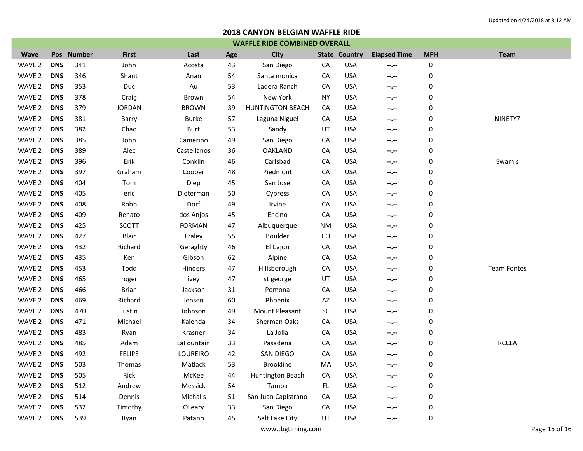| <b>WAFFLE RIDE COMBINED OVERALL</b> |            |            |               |               |     |                         |           |                      |                     |            |                    |
|-------------------------------------|------------|------------|---------------|---------------|-----|-------------------------|-----------|----------------------|---------------------|------------|--------------------|
| <b>Wave</b>                         |            | Pos Number | <b>First</b>  | Last          | Age | City                    |           | <b>State Country</b> | <b>Elapsed Time</b> | <b>MPH</b> | <b>Team</b>        |
| WAVE 2                              | <b>DNS</b> | 341        | John          | Acosta        | 43  | San Diego               | CA        | <b>USA</b>           | $-2 - 1$            | 0          |                    |
| WAVE 2                              | <b>DNS</b> | 346        | Shant         | Anan          | 54  | Santa monica            | CA        | <b>USA</b>           | --.--               | 0          |                    |
| WAVE 2                              | <b>DNS</b> | 353        | Duc           | Au            | 53  | Ladera Ranch            | CA        | <b>USA</b>           | --.--               | 0          |                    |
| WAVE 2                              | <b>DNS</b> | 378        | Craig         | Brown         | 54  | New York                | <b>NY</b> | <b>USA</b>           | --.--               | 0          |                    |
| WAVE 2                              | <b>DNS</b> | 379        | <b>JORDAN</b> | <b>BROWN</b>  | 39  | <b>HUNTINGTON BEACH</b> | CA        | <b>USA</b>           | --.--               | 0          |                    |
| WAVE 2                              | <b>DNS</b> | 381        | Barry         | <b>Burke</b>  | 57  | Laguna Niguel           | CA        | <b>USA</b>           | --.--               | 0          | NINETY7            |
| WAVE 2                              | <b>DNS</b> | 382        | Chad          | <b>Burt</b>   | 53  | Sandy                   | UT        | <b>USA</b>           | --.--               | 0          |                    |
| WAVE 2                              | <b>DNS</b> | 385        | John          | Camerino      | 49  | San Diego               | CA        | <b>USA</b>           | $-2 - 1 - 1 = 0$    | 0          |                    |
| WAVE 2                              | <b>DNS</b> | 389        | Alec          | Castellanos   | 36  | <b>OAKLAND</b>          | CA        | <b>USA</b>           | --.--               | 0          |                    |
| WAVE 2                              | <b>DNS</b> | 396        | Erik          | Conklin       | 46  | Carlsbad                | CA        | <b>USA</b>           | $-1 - 1 - 1 = 0$    | 0          | Swamis             |
| WAVE 2                              | <b>DNS</b> | 397        | Graham        | Cooper        | 48  | Piedmont                | CA        | <b>USA</b>           | --.--               | 0          |                    |
| WAVE 2                              | <b>DNS</b> | 404        | Tom           | Diep          | 45  | San Jose                | CA        | <b>USA</b>           | --.--               | 0          |                    |
| WAVE 2                              | <b>DNS</b> | 405        | eric          | Dieterman     | 50  | Cypress                 | CA        | <b>USA</b>           | --.--               | 0          |                    |
| WAVE 2                              | <b>DNS</b> | 408        | Robb          | Dorf          | 49  | Irvine                  | CA        | <b>USA</b>           | --.--               | 0          |                    |
| WAVE 2                              | <b>DNS</b> | 409        | Renato        | dos Anjos     | 45  | Encino                  | CA        | <b>USA</b>           | --.--               | 0          |                    |
| WAVE 2                              | <b>DNS</b> | 425        | SCOTT         | <b>FORMAN</b> | 47  | Albuquerque             | <b>NM</b> | <b>USA</b>           | --.--               | 0          |                    |
| WAVE 2                              | <b>DNS</b> | 427        | <b>Blair</b>  | Fraley        | 55  | Boulder                 | CO        | <b>USA</b>           | --.--               | 0          |                    |
| WAVE 2                              | <b>DNS</b> | 432        | Richard       | Geraghty      | 46  | El Cajon                | CA        | <b>USA</b>           | --.--               | 0          |                    |
| WAVE 2                              | <b>DNS</b> | 435        | Ken           | Gibson        | 62  | Alpine                  | CA        | <b>USA</b>           | --.--               | 0          |                    |
| WAVE 2                              | <b>DNS</b> | 453        | Todd          | Hinders       | 47  | Hillsborough            | CA        | <b>USA</b>           | $-1 - 1 - 1 = 0$    | 0          | <b>Team Fontes</b> |
| WAVE 2                              | <b>DNS</b> | 465        | roger         | ivey          | 47  | st george               | UT        | <b>USA</b>           | --.--               | 0          |                    |
| WAVE 2                              | <b>DNS</b> | 466        | <b>Brian</b>  | Jackson       | 31  | Pomona                  | CA        | <b>USA</b>           | --.--               | 0          |                    |
| WAVE 2                              | <b>DNS</b> | 469        | Richard       | Jensen        | 60  | Phoenix                 | AZ        | <b>USA</b>           | --.--               | 0          |                    |
| WAVE 2                              | <b>DNS</b> | 470        | Justin        | Johnson       | 49  | Mount Pleasant          | SC        | <b>USA</b>           | --.--               | 0          |                    |
| WAVE 2                              | <b>DNS</b> | 471        | Michael       | Kalenda       | 34  | Sherman Oaks            | CA        | <b>USA</b>           | --.--               | 0          |                    |
| WAVE 2                              | <b>DNS</b> | 483        | Ryan          | Krasner       | 34  | La Jolla                | CA        | <b>USA</b>           | --.--               | 0          |                    |
| WAVE 2                              | <b>DNS</b> | 485        | Adam          | LaFountain    | 33  | Pasadena                | CA        | <b>USA</b>           | --.--               | 0          | <b>RCCLA</b>       |
| WAVE 2                              | <b>DNS</b> | 492        | <b>FELIPE</b> | LOUREIRO      | 42  | <b>SAN DIEGO</b>        | CA        | <b>USA</b>           | --.--               | 0          |                    |
| WAVE 2                              | <b>DNS</b> | 503        | Thomas        | Matlack       | 53  | <b>Brookline</b>        | MA        | <b>USA</b>           | --.--               | 0          |                    |
| WAVE 2                              | <b>DNS</b> | 505        | Rick          | McKee         | 44  | Huntington Beach        | CA        | <b>USA</b>           | --.--               | 0          |                    |
| WAVE 2                              | <b>DNS</b> | 512        | Andrew        | Messick       | 54  | Tampa                   | FL.       | <b>USA</b>           | $-2 - 1 - 1 = 0$    | 0          |                    |
| WAVE 2                              | <b>DNS</b> | 514        | Dennis        | Michalis      | 51  | San Juan Capistrano     | CA        | <b>USA</b>           | $-1 - 1 - 1 = 0$    | 0          |                    |
| WAVE 2                              | <b>DNS</b> | 532        | Timothy       | OLeary        | 33  | San Diego               | CA        | <b>USA</b>           | --.--               | 0          |                    |
| WAVE 2                              | <b>DNS</b> | 539        | Ryan          | Patano        | 45  | Salt Lake City          | UT        | <b>USA</b>           | $- - - - -$         | 0          |                    |